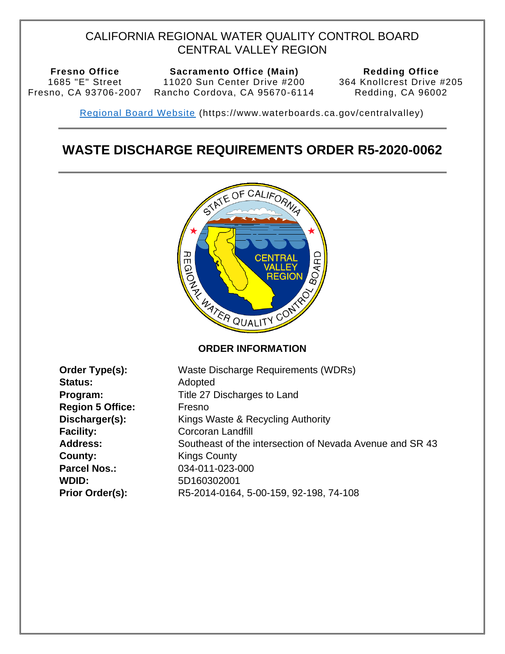## CALIFORNIA REGIONAL WATER QUALITY CONTROL BOARD CENTRAL VALLEY REGION

1685 "E" Street

**Fresno Office Sacramento Office (Main) Redding Office**  Fresno, CA 93706-2007 Rancho Cordova, CA 95670-6114 11020 Sun Center Drive #200<br>
ancho Cordova, CA 95670-6114

<span id="page-0-3"></span>364 Knollcrest Drive #205 Redding, CA 96002

<span id="page-0-2"></span>Regional Board Website (https://www.waterboards.ca.gov/centralvalley)

# **WASTE DISCHARGE REQUIREMENTS ORDER R5-2020-0062**



<span id="page-0-4"></span><span id="page-0-1"></span><span id="page-0-0"></span>

| Order Type(s):          | Waste Discharge Requirements (WDRs)                      |  |
|-------------------------|----------------------------------------------------------|--|
| <b>Status:</b>          | Adopted                                                  |  |
| Program:                | Title 27 Discharges to Land                              |  |
| <b>Region 5 Office:</b> | Fresno                                                   |  |
| Discharger(s):          | Kings Waste & Recycling Authority                        |  |
| <b>Facility:</b>        | Corcoran Landfill                                        |  |
| <b>Address:</b>         | Southeast of the intersection of Nevada Avenue and SR 43 |  |
| County:                 | <b>Kings County</b>                                      |  |
| <b>Parcel Nos.:</b>     | 034-011-023-000                                          |  |
| WDID:                   | 5D160302001                                              |  |
| Prior Order(s):         | R5-2014-0164, 5-00-159, 92-198, 74-108                   |  |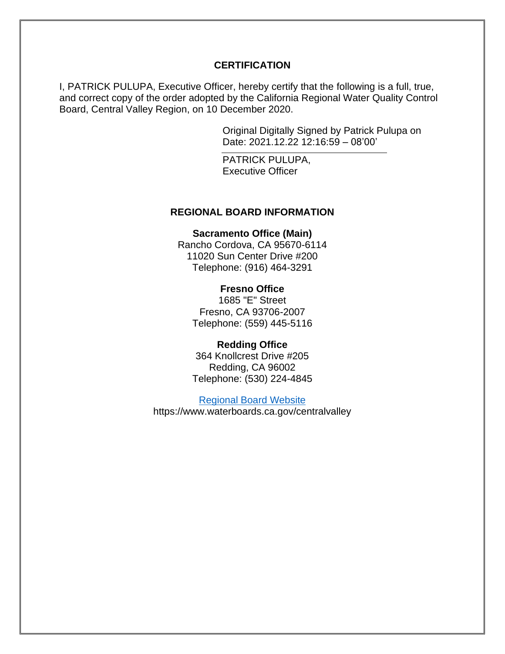#### **CERTIFICATION**

I, PATRICK PULUPA, Executive Officer, hereby certify that the following is a full, true, and correct copy of the order adopted by the California Regional Water Quality Control Board, Central Valley Region, on 10 December 2020.

> Original Digitally Signed by Patrick Pulupa on Date: 2021.12.22 12:16:59 – 08'00'

PATRICK PULUPA, Executive Officer

#### **REGIONAL BOARD INFORMATION**

**Sacramento Office (Main)** 

Rancho Cordova, CA 95670-6114 11020 Sun Center Drive #200 Telephone: (916) 464-3291

#### **Fresno Office**

1685 "E" Street Fresno, CA 93706-2007 Telephone: (559) 445-5116

#### **Redding Office**

364 Knollcrest Drive #205 Redding, CA 96002 Telephone: (530) 224-4845

[Regional Board Website](https://www.waterboards.ca.gov/centralvalley/)  https://www.waterboards.ca.gov/centralvalley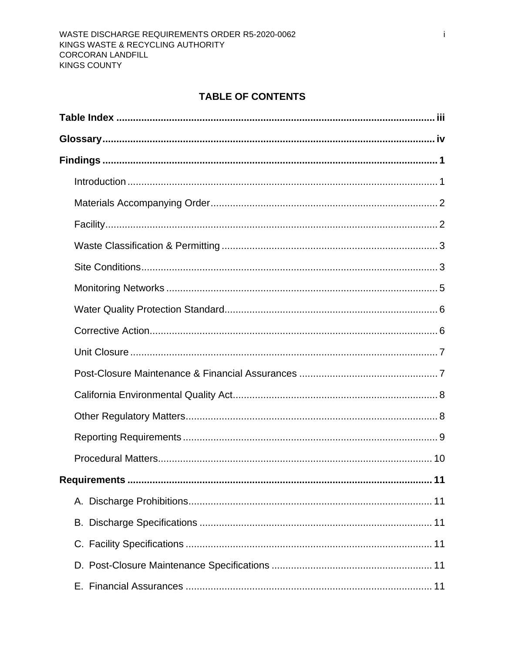## **TABLE OF CONTENTS**

| Requirements<br>11 |
|--------------------|
|                    |
|                    |
|                    |
|                    |
|                    |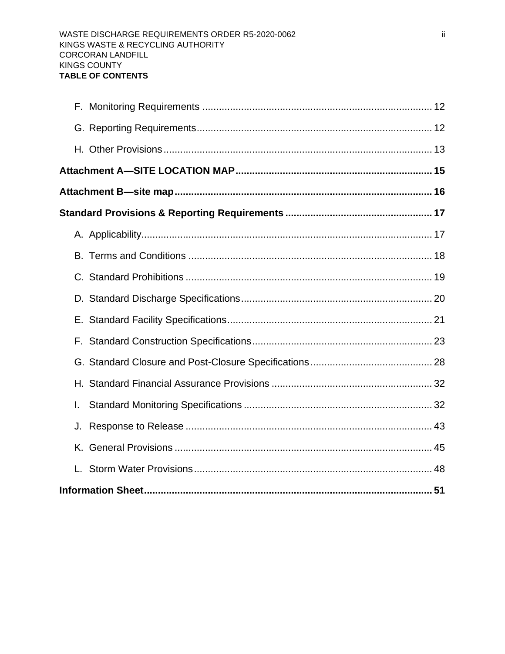| L. |  |
|----|--|
| J. |  |
|    |  |
|    |  |
|    |  |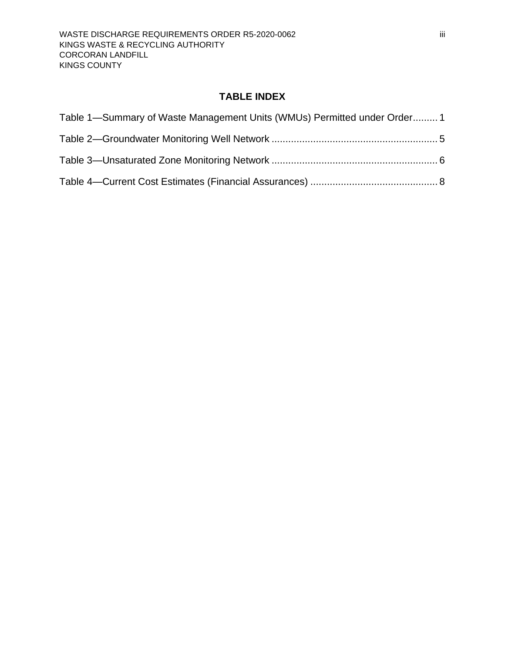## **TABLE INDEX**

<span id="page-4-0"></span>

| Table 1—Summary of Waste Management Units (WMUs) Permitted under Order 1 |  |
|--------------------------------------------------------------------------|--|
|                                                                          |  |
|                                                                          |  |
|                                                                          |  |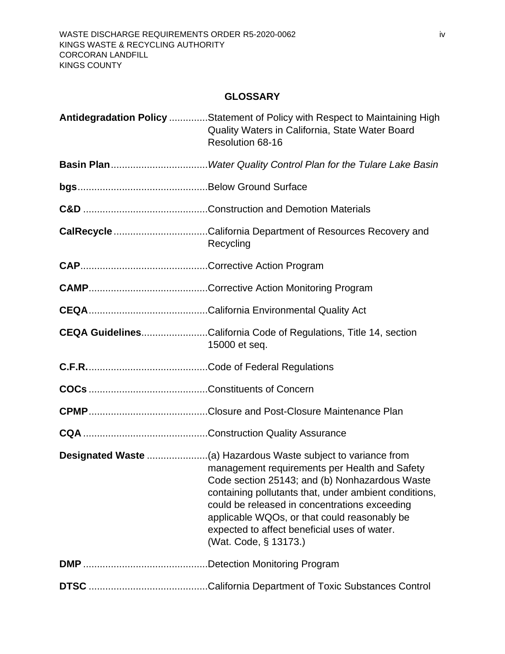## <span id="page-5-1"></span>**GLOSSARY**

<span id="page-5-0"></span>

| Antidegradation Policy Statement of Policy with Respect to Maintaining High<br>Quality Waters in California, State Water Board<br>Resolution 68-16                                                                                                                                                                                 |
|------------------------------------------------------------------------------------------------------------------------------------------------------------------------------------------------------------------------------------------------------------------------------------------------------------------------------------|
|                                                                                                                                                                                                                                                                                                                                    |
|                                                                                                                                                                                                                                                                                                                                    |
|                                                                                                                                                                                                                                                                                                                                    |
| <b>CalRecycle</b> California Department of Resources Recovery and<br>Recycling                                                                                                                                                                                                                                                     |
|                                                                                                                                                                                                                                                                                                                                    |
|                                                                                                                                                                                                                                                                                                                                    |
|                                                                                                                                                                                                                                                                                                                                    |
| <b>CEQA GuidelinesCalifornia Code of Regulations, Title 14, section</b><br>15000 et seq.                                                                                                                                                                                                                                           |
|                                                                                                                                                                                                                                                                                                                                    |
|                                                                                                                                                                                                                                                                                                                                    |
|                                                                                                                                                                                                                                                                                                                                    |
|                                                                                                                                                                                                                                                                                                                                    |
| management requirements per Health and Safety<br>Code section 25143; and (b) Nonhazardous Waste<br>containing pollutants that, under ambient conditions,<br>could be released in concentrations exceeding<br>applicable WQOs, or that could reasonably be<br>expected to affect beneficial uses of water.<br>(Wat. Code, § 13173.) |
|                                                                                                                                                                                                                                                                                                                                    |
|                                                                                                                                                                                                                                                                                                                                    |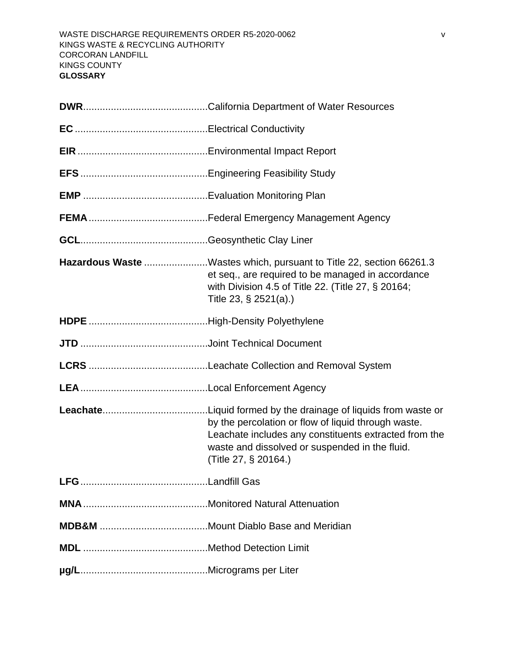| Hazardous Waste Wastes which, pursuant to Title 22, section 66261.3<br>et seq., are required to be managed in accordance<br>with Division 4.5 of Title 22. (Title 27, § 20164;<br>Title 23, § 2521(a).) |  |  |
|---------------------------------------------------------------------------------------------------------------------------------------------------------------------------------------------------------|--|--|
|                                                                                                                                                                                                         |  |  |
|                                                                                                                                                                                                         |  |  |
|                                                                                                                                                                                                         |  |  |
|                                                                                                                                                                                                         |  |  |
| by the percolation or flow of liquid through waste.<br>Leachate includes any constituents extracted from the<br>waste and dissolved or suspended in the fluid.<br>(Title 27, § 20164.)                  |  |  |
|                                                                                                                                                                                                         |  |  |
|                                                                                                                                                                                                         |  |  |
|                                                                                                                                                                                                         |  |  |
|                                                                                                                                                                                                         |  |  |
|                                                                                                                                                                                                         |  |  |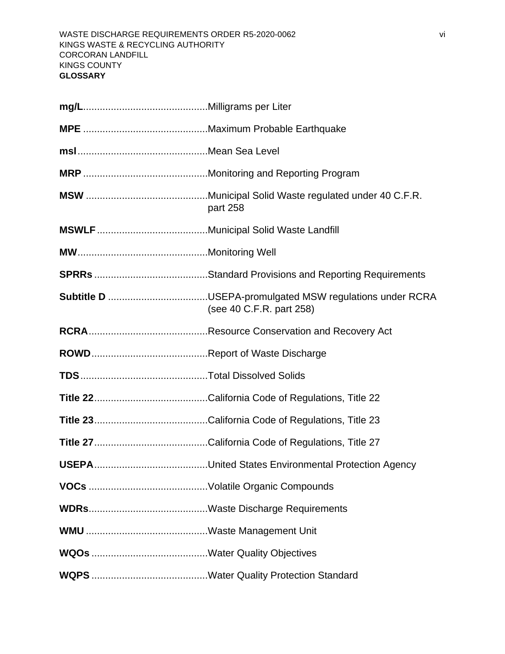| part 258                                                                                   |  |  |
|--------------------------------------------------------------------------------------------|--|--|
|                                                                                            |  |  |
|                                                                                            |  |  |
|                                                                                            |  |  |
| <b>Subtitle D</b> USEPA-promulgated MSW regulations under RCRA<br>(see 40 C.F.R. part 258) |  |  |
|                                                                                            |  |  |
|                                                                                            |  |  |
|                                                                                            |  |  |
|                                                                                            |  |  |
|                                                                                            |  |  |
|                                                                                            |  |  |
|                                                                                            |  |  |
|                                                                                            |  |  |
|                                                                                            |  |  |
|                                                                                            |  |  |
|                                                                                            |  |  |
|                                                                                            |  |  |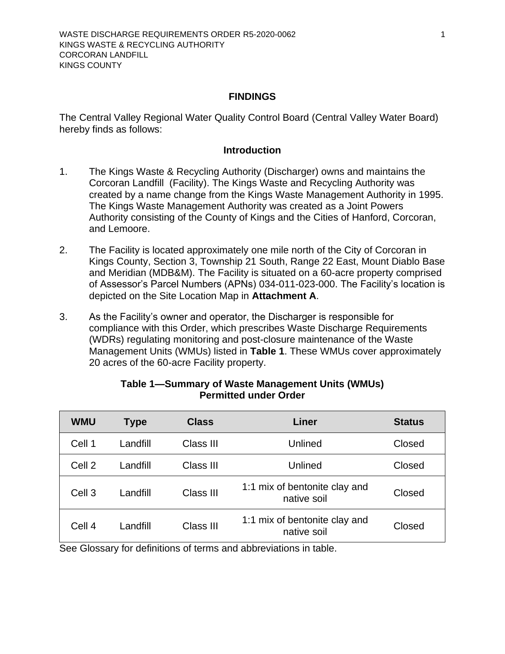#### **FINDINGS**

<span id="page-8-0"></span>The Central Valley Regional Water Quality Control Board (Central Valley Water Board) hereby finds as follows:

#### **Introduction**

- <span id="page-8-1"></span>1. The Kings Waste & Recycling Authority (Discharger) owns and maintains the [Corcoran Landfill](#page-0-0) (Facility). The Kings Waste and Recycling Authority was created by a name change from the Kings Waste Management Authority in 1995. The Kings Waste Management Authority was created as a Joint Powers Authority consisting of the County of Kings and the Cities of Hanford, Corcoran, and Lemoore.
- 2. The Facility is located approximately one mile north of the City of Corcoran in [Kings County,](#page-0-1) Section 3, Township 21 South, Range 22 East, Mount Diablo Base and Meridian (MDB&M). The Facility is situated on a 60-acre property comprised of Assessor's Parcel Numbers (APNs) 034-011-023-000. The Facility's location is depicted on the Site Location Map in **Attachment A**.
- 3. As the Facility's owner and operator, the Discharger is responsible for compliance with this Order, which prescribes Waste Discharge Requirements (WDRs) regulating monitoring and post-closure maintenance of the Waste Management Units (WMUs) listed in **[Table 1](#page-8-2)**. These WMUs cover approximately 20 acres of the 60-acre Facility property.

<span id="page-8-2"></span>

| <b>WMU</b>        | Type     | <b>Class</b> | Liner                                        | <b>Status</b> |
|-------------------|----------|--------------|----------------------------------------------|---------------|
| Cell 1            | Landfill | Class III    | Unlined                                      | Closed        |
| Cell 2            | Landfill | Class III    | Unlined                                      | Closed        |
| Cell <sub>3</sub> | Landfill | Class III    | 1:1 mix of bentonite clay and<br>native soil | Closed        |
| Cell 4            | Landfill | Class III    | 1:1 mix of bentonite clay and<br>native soil | Closed        |

### **Table 1—Summary of Waste Management Units (WMUs) Permitted under Order**

See Glossary for definitions of terms and abbreviations in table.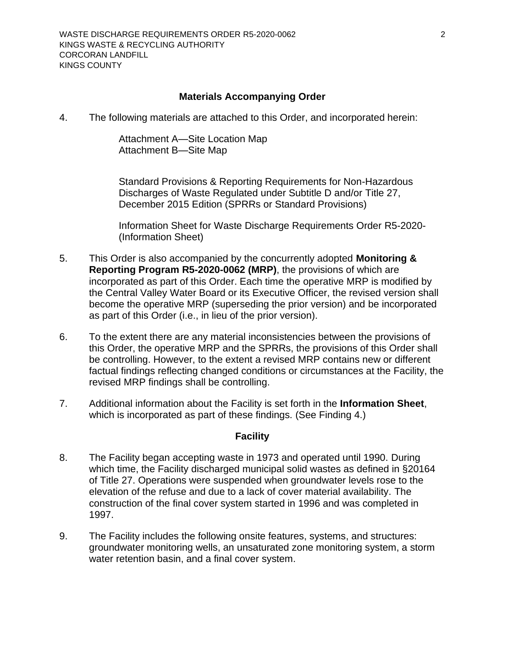#### **Materials Accompanying Order**

<span id="page-9-0"></span>4. The following materials are attached to this Order, and incorporated herein:

[Attachment A—Site Location Map](#page-22-0) [Attachment B—Site Map](#page-23-0)

Standard Provisions & Reporting Requirements for Non-Hazardous Discharges of Waste Regulated under Subtitle D and/or Title 27, December 2015 Edition (SPRRs or Standard Provisions)

Information Sheet for [Waste Discharge Requirements Order](#page-0-2) R5-2020- (Information Sheet)

- 5. This Order is also accompanied by the concurrently adopted **Monitoring & Reporting Program [R5-2020-0](#page-0-3)062 (MRP)**, the provisions of which are incorporated as part of this Order. Each time the operative MRP is modified by the Central Valley Water Board or its Executive Officer, the revised version shall become the operative MRP (superseding the prior version) and be incorporated as part of this Order (i.e., in lieu of the prior version).
- 6. To the extent there are any material inconsistencies between the provisions of this Order, the operative MRP and the SPRRs, the provisions of this Order shall be controlling. However, to the extent a revised MRP contains new or different factual findings reflecting changed conditions or circumstances at the Facility, the revised MRP findings shall be controlling.
- 7. Additional information about the Facility is set forth in the **Information Sheet**, which is incorporated as part of these findings. (See Finding 4.)

#### **Facility**

- <span id="page-9-1"></span>8. The Facility began accepting waste in 1973 and operated until 1990. During which time, the Facility discharged municipal solid wastes as defined in §20164 of Title 27. Operations were suspended when groundwater levels rose to the elevation of the refuse and due to a lack of cover material availability. The construction of the final cover system started in 1996 and was completed in 1997.
- 9. The Facility includes the following onsite features, systems, and structures: groundwater monitoring wells, an unsaturated zone monitoring system, a storm water retention basin, and a final cover system.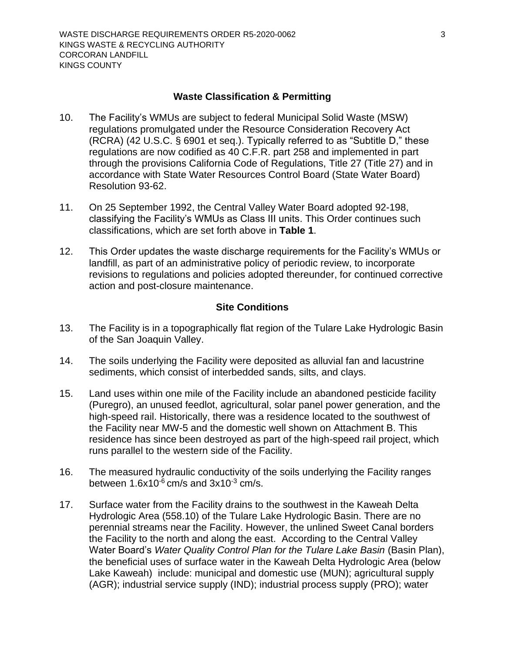#### **Waste Classification & Permitting**

- <span id="page-10-0"></span>10. The Facility's WMUs are subject to federal Municipal Solid Waste (MSW) regulations promulgated under the Resource Consideration Recovery Act (RCRA) (42 U.S.C. § 6901 et seq.). Typically referred to as "Subtitle D," these regulations are now codified as 40 C.F.R. part 258 and implemented in part through the provisions California Code of Regulations, Title 27 (Title 27) and in accordance with State Water Resources Control Board (State Water Board) Resolution 93-62.
- 11. On 25 September 1992, the Central Valley Water Board adopted 92-198, classifying the Facility's WMUs as Class III units. This Order continues such classifications, which are set forth above in **[Table 1](#page-8-2)**.
- 12. This Order updates the waste discharge requirements for the Facility's WMUs or landfill, as part of an administrative policy of periodic review, to incorporate revisions to regulations and policies adopted thereunder, for continued corrective action and post-closure maintenance.

#### **Site Conditions**

- <span id="page-10-1"></span>13. The Facility is in a topographically flat region of the Tulare Lake Hydrologic Basin of the San Joaquin Valley.
- 14. The soils underlying the Facility were deposited as alluvial fan and lacustrine sediments, which consist of interbedded sands, silts, and clays.
- 15. Land uses within one mile of the Facility include an abandoned pesticide facility (Puregro), an unused feedlot, agricultural, solar panel power generation, and the high-speed rail. Historically, there was a residence located to the southwest of the Facility near MW-5 and the domestic well shown on Attachment B. This residence has since been destroyed as part of the high-speed rail project, which runs parallel to the western side of the Facility.
- 16. The measured hydraulic conductivity of the soils underlying the Facility ranges between  $1.6x10^{-6}$  cm/s and  $3x10^{-3}$  cm/s.
- 17. Surface water from the Facility drains to the southwest in the Kaweah Delta Hydrologic Area (558.10) of the Tulare Lake Hydrologic Basin. There are no perennial streams near the Facility. However, the unlined Sweet Canal borders the Facility to the north and along the east. According to the Central Valley Water Board's *[Water Quality Control Plan for the Tulare Lake Basin](#page-5-1)* (Basin Plan), the beneficial uses of surface water in the Kaweah Delta Hydrologic Area (below Lake Kaweah) include: municipal and domestic use (MUN); agricultural supply (AGR); industrial service supply (IND); industrial process supply (PRO); water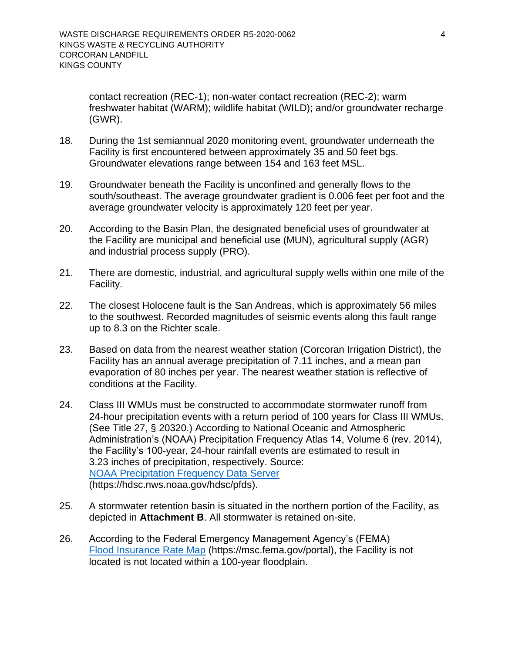contact recreation (REC-1); non-water contact recreation (REC-2); warm freshwater habitat (WARM); wildlife habitat (WILD); and/or groundwater recharge (GWR).

- 18. During the 1st semiannual 2020 monitoring event, groundwater underneath the Facility is first encountered between approximately 35 and 50 feet bgs. Groundwater elevations range between 154 and 163 feet MSL.
- 19. Groundwater beneath the Facility is unconfined and generally flows to the south/southeast. The average groundwater gradient is 0.006 feet per foot and the average groundwater velocity is approximately 120 feet per year.
- 20. According to the Basin Plan, the designated beneficial uses of groundwater at the Facility are municipal and beneficial use (MUN), agricultural supply (AGR) and industrial process supply (PRO).
- 21. There are domestic, industrial, and agricultural supply wells within one mile of the Facility.
- 22. The closest Holocene fault is the San Andreas, which is approximately 56 miles to the southwest. Recorded magnitudes of seismic events along this fault range up to 8.3 on the Richter scale.
- 23. Based on data from the nearest weather station (Corcoran Irrigation District), the Facility has an annual average precipitation of 7.11 inches, and a mean pan evaporation of 80 inches per year. The nearest weather station is reflective of conditions at the Facility.
- 24. Class III WMUs must be constructed to accommodate stormwater runoff from 24-hour precipitation events with a return period of 100 years for Class III WMUs. (See Title 27, § 20320.) According to National Oceanic and Atmospheric Administration's (NOAA) Precipitation Frequency Atlas 14, Volume 6 (rev. 2014), the Facility's 100-year, 24-hour rainfall events are estimated to result in 3.23 inches of precipitation, respectively. Source: [NOAA Precipitation Frequency Data Server](https://hdsc.nws.noaa.gov/hdsc/pfds) [\(https://hdsc.nws.noaa.gov/hdsc/pfds\)](https://hdsc.nws.noaa.gov/hdsc/pfds).
- 25. A stormwater retention basin is situated in the northern portion of the Facility, as depicted in **Attachment B**. All stormwater is retained on-site.
- 26. According to the Federal Emergency Management Agency's (FEMA) [Flood Insurance Rate Map](file://///ca.epa.local/RB/RB5/_Current%20Board%20Meeting/AGENDA/AGENDA%20MATERIAL/UNCONTESTED/02%20DRAFT/Corcoran%20Landfill/Flood%20Insurance%20Rate%20Map) [\(https://msc.fema.gov/portal\)](https://msc.fema.gov/portal), the Facility is not located is not located within a 100-year floodplain.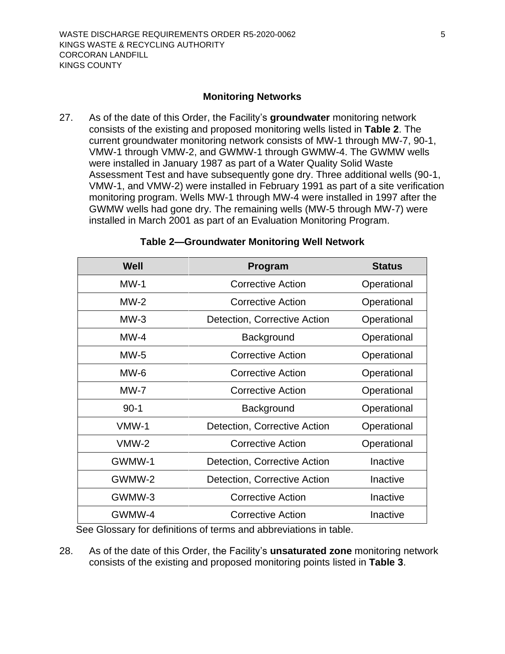#### **Monitoring Networks**

<span id="page-12-0"></span>27. As of the date of this Order, the Facility's **groundwater** monitoring network consists of the existing and proposed monitoring wells listed in **[Table 2](#page-12-1)**. The current groundwater monitoring network consists of MW-1 through MW-7, 90-1, VMW-1 through VMW-2, and GWMW-1 through GWMW-4. The GWMW wells were installed in January 1987 as part of a Water Quality Solid Waste Assessment Test and have subsequently gone dry. Three additional wells (90-1, VMW-1, and VMW-2) were installed in February 1991 as part of a site verification monitoring program. Wells MW-1 through MW-4 were installed in 1997 after the GWMW wells had gone dry. The remaining wells (MW-5 through MW-7) were installed in March 2001 as part of an Evaluation Monitoring Program.

<span id="page-12-1"></span>

| Well    | <b>Program</b>               | <b>Status</b> |
|---------|------------------------------|---------------|
| $MW-1$  | <b>Corrective Action</b>     | Operational   |
| $MW-2$  | <b>Corrective Action</b>     | Operational   |
| $MW-3$  | Detection, Corrective Action | Operational   |
| $MW-4$  | Background                   | Operational   |
| $MW-5$  | <b>Corrective Action</b>     | Operational   |
| MW-6    | <b>Corrective Action</b>     | Operational   |
| $MW-7$  | <b>Corrective Action</b>     | Operational   |
| $90-1$  | Background                   | Operational   |
| VMW-1   | Detection, Corrective Action | Operational   |
| $VMW-2$ | <b>Corrective Action</b>     | Operational   |
| GWMW-1  | Detection, Corrective Action | Inactive      |
| GWMW-2  | Detection, Corrective Action | Inactive      |
| GWMW-3  | <b>Corrective Action</b>     | Inactive      |
| GWMW-4  | <b>Corrective Action</b>     | Inactive      |

#### **Table 2—Groundwater Monitoring Well Network**

See Glossary for definitions of terms and abbreviations in table.

28. As of the date of this Order, the Facility's **unsaturated zone** monitoring network consists of the existing and proposed monitoring points listed in **[Table 3](#page-13-2)**.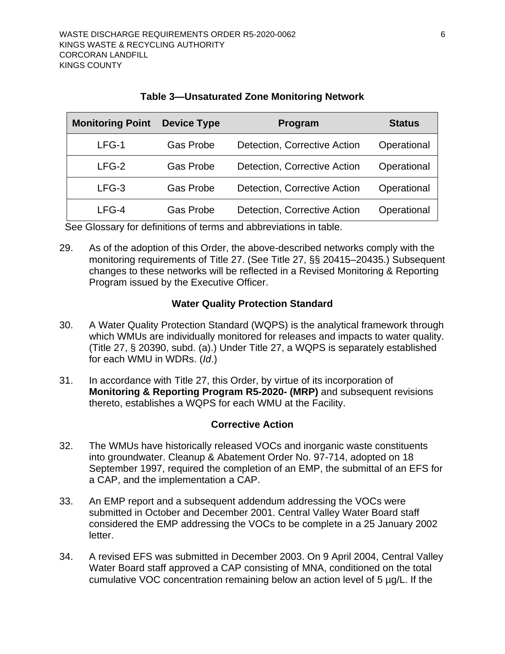<span id="page-13-2"></span>

| <b>Monitoring Point</b> | <b>Device Type</b> | Program                      | <b>Status</b> |
|-------------------------|--------------------|------------------------------|---------------|
| $LFG-1$                 | <b>Gas Probe</b>   | Detection, Corrective Action | Operational   |
| $LFG-2$                 | <b>Gas Probe</b>   | Detection, Corrective Action | Operational   |
| $LFG-3$                 | <b>Gas Probe</b>   | Detection, Corrective Action | Operational   |
| $LFG-4$                 | <b>Gas Probe</b>   | Detection, Corrective Action | Operational   |

| <b>Table 3-Unsaturated Zone Monitoring Network</b> |
|----------------------------------------------------|
|----------------------------------------------------|

See Glossary for definitions of terms and abbreviations in table.

29. As of the adoption of this Order, the above-described networks comply with the monitoring requirements of Title 27. (See Title 27, §§ 20415–20435.) Subsequent changes to these networks will be reflected in a Revised Monitoring & Reporting Program issued by the Executive Officer.

## **Water Quality Protection Standard**

- <span id="page-13-0"></span>30. A Water Quality Protection Standard (WQPS) is the analytical framework through which WMUs are individually monitored for releases and impacts to water quality. (Title 27, § 20390, subd. (a).) Under Title 27, a WQPS is separately established for each WMU in WDRs. (*Id*.)
- 31. In accordance with Title 27, this Order, by virtue of its incorporation of **Monitoring & Reporting Program [R5-2020-](#page-0-3) (MRP)** and subsequent revisions thereto, establishes a WQPS for each WMU at the Facility.

### **Corrective Action**

- <span id="page-13-1"></span>32. The WMUs have historically released VOCs and inorganic waste constituents into groundwater. Cleanup & Abatement Order No. 97-714, adopted on 18 September 1997, required the completion of an EMP, the submittal of an EFS for a CAP, and the implementation a CAP.
- 33. An EMP report and a subsequent addendum addressing the VOCs were submitted in October and December 2001. Central Valley Water Board staff considered the EMP addressing the VOCs to be complete in a 25 January 2002 letter.
- 34. A revised EFS was submitted in December 2003. On 9 April 2004, Central Valley Water Board staff approved a CAP consisting of MNA, conditioned on the total cumulative VOC concentration remaining below an action level of 5 µg/L. If the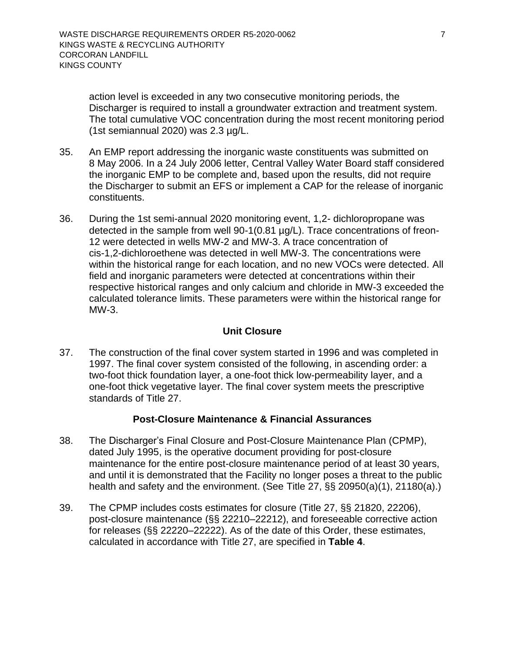action level is exceeded in any two consecutive monitoring periods, the Discharger is required to install a groundwater extraction and treatment system. The total cumulative VOC concentration during the most recent monitoring period (1st semiannual 2020) was 2.3 µg/L.

- 35. An EMP report addressing the inorganic waste constituents was submitted on 8 May 2006. In a 24 July 2006 letter, Central Valley Water Board staff considered the inorganic EMP to be complete and, based upon the results, did not require the Discharger to submit an EFS or implement a CAP for the release of inorganic constituents.
- 36. During the 1st semi-annual 2020 monitoring event, 1,2- dichloropropane was detected in the sample from well 90-1(0.81 µg/L). Trace concentrations of freon-12 were detected in wells MW-2 and MW-3. A trace concentration of cis-1,2-dichloroethene was detected in well MW-3. The concentrations were within the historical range for each location, and no new VOCs were detected. All field and inorganic parameters were detected at concentrations within their respective historical ranges and only calcium and chloride in MW-3 exceeded the calculated tolerance limits. These parameters were within the historical range for MW-3.

## **Unit Closure**

<span id="page-14-0"></span>37. The construction of the final cover system started in 1996 and was completed in 1997. The final cover system consisted of the following, in ascending order: a two-foot thick foundation layer, a one-foot thick low-permeability layer, and a one-foot thick vegetative layer. The final cover system meets the prescriptive standards of Title 27.

### **Post-Closure Maintenance & Financial Assurances**

- <span id="page-14-1"></span>38. The Discharger's Final Closure and Post-Closure Maintenance Plan (CPMP), dated July 1995, is the operative document providing for post-closure maintenance for the entire post-closure maintenance period of at least 30 years, and until it is demonstrated that the Facility no longer poses a threat to the public health and safety and the environment. (See Title 27, §§ 20950(a)(1), 21180(a).)
- 39. The CPMP includes costs estimates for closure (Title 27, §§ 21820, 22206), post-closure maintenance (§§ 22210–22212), and foreseeable corrective action for releases (§§ 22220–22222). As of the date of this Order, these estimates, calculated in accordance with Title 27, are specified in **[Table 4](#page-15-2)**.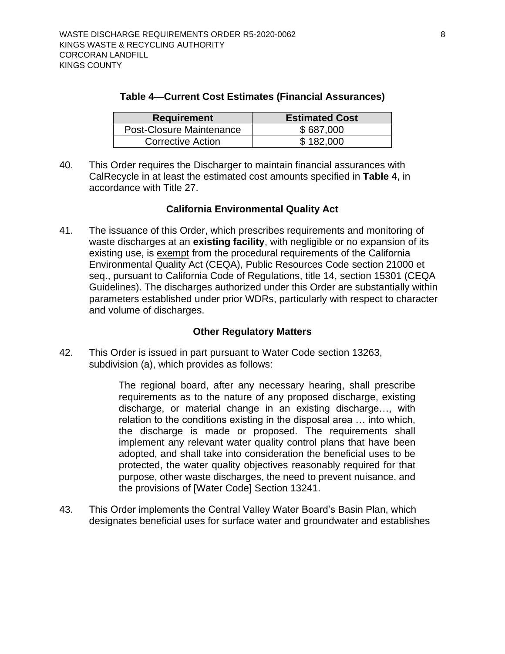| Table 4-Current Cost Estimates (Financial Assurances) |  |
|-------------------------------------------------------|--|
|-------------------------------------------------------|--|

<span id="page-15-2"></span>

| <b>Requirement</b>              | <b>Estimated Cost</b> |
|---------------------------------|-----------------------|
| <b>Post-Closure Maintenance</b> | \$687,000             |
| <b>Corrective Action</b>        | \$182,000             |

40. This Order requires the Discharger to maintain financial assurances with CalRecycle in at least the estimated cost amounts specified in **[Table 4](#page-15-2)**, in accordance with Title 27.

#### **California Environmental Quality Act**

<span id="page-15-0"></span>41. The issuance of this Order, which prescribes requirements and monitoring of waste discharges at an **existing facility**, with negligible or no expansion of its existing use, is exempt from the procedural requirements of the California Environmental Quality Act (CEQA), Public Resources Code section 21000 et seq., pursuant to California Code of Regulations, title 14, section 15301 (CEQA Guidelines). The discharges authorized under this Order are substantially within parameters established under prior WDRs, particularly with respect to character and volume of discharges.

#### **Other Regulatory Matters**

<span id="page-15-1"></span>42. This Order is issued in part pursuant to Water Code section 13263, subdivision (a), which provides as follows:

> The regional board, after any necessary hearing, shall prescribe requirements as to the nature of any proposed discharge, existing discharge, or material change in an existing discharge…, with relation to the conditions existing in the disposal area … into which, the discharge is made or proposed. The requirements shall implement any relevant water quality control plans that have been adopted, and shall take into consideration the beneficial uses to be protected, the water quality objectives reasonably required for that purpose, other waste discharges, the need to prevent nuisance, and the provisions of [Water Code] Section 13241.

43. This Order implements the Central Valley Water Board's Basin Plan, which designates beneficial uses for surface water and groundwater and establishes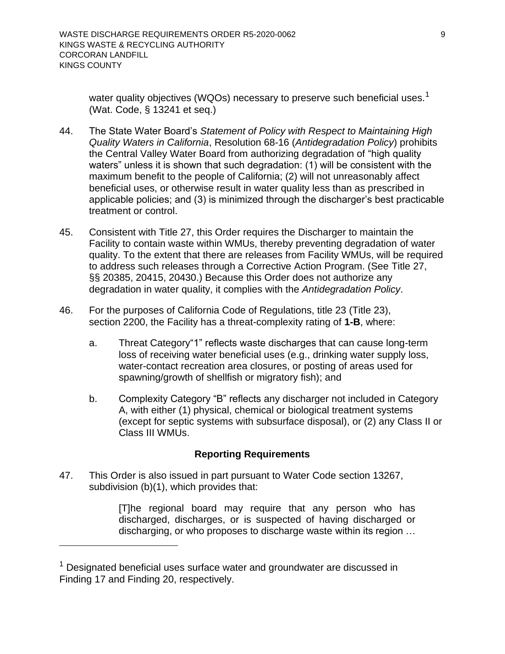water quality objectives (WQOs) necessary to preserve such beneficial uses.<sup>1</sup> (Wat. Code, § 13241 et seq.)

- 44. The State Water Board's *Statement of Policy with Respect to Maintaining High Quality Waters in California*, Resolution 68-16 (*Antidegradation Policy*) prohibits the Central Valley Water Board from authorizing degradation of "high quality waters" unless it is shown that such degradation: (1) will be consistent with the maximum benefit to the people of California; (2) will not unreasonably affect beneficial uses, or otherwise result in water quality less than as prescribed in applicable policies; and (3) is minimized through the discharger's best practicable treatment or control.
- 45. Consistent with Title 27, this Order requires the Discharger to maintain the Facility to contain waste within WMUs, thereby preventing degradation of water quality. To the extent that there are releases from Facility WMUs, will be required to address such releases through a Corrective Action Program. (See Title 27, §§ 20385, 20415, 20430.) Because this Order does not authorize any degradation in water quality, it complies with the *Antidegradation Policy*.
- 46. For the purposes of California Code of Regulations, title 23 (Title 23), section 2200, the Facility has a threat-complexity rating of **1-B**, where:
	- a. Threat Category"1" reflects waste discharges that can cause long-term loss of receiving water beneficial uses (e.g., drinking water supply loss, water-contact recreation area closures, or posting of areas used for spawning/growth of shellfish or migratory fish); and
	- b. Complexity Category "B" reflects any discharger not included in Category A, with either (1) physical, chemical or biological treatment systems (except for septic systems with subsurface disposal), or (2) any Class II or Class III WMUs.

### **Reporting Requirements**

<span id="page-16-0"></span>47. This Order is also issued in part pursuant to Water Code section 13267, subdivision (b)(1), which provides that:

> [T]he regional board may require that any person who has discharged, discharges, or is suspected of having discharged or discharging, or who proposes to discharge waste within its region …

 $1$  Designated beneficial uses surface water and groundwater are discussed in Finding 17 and Finding 20, respectively.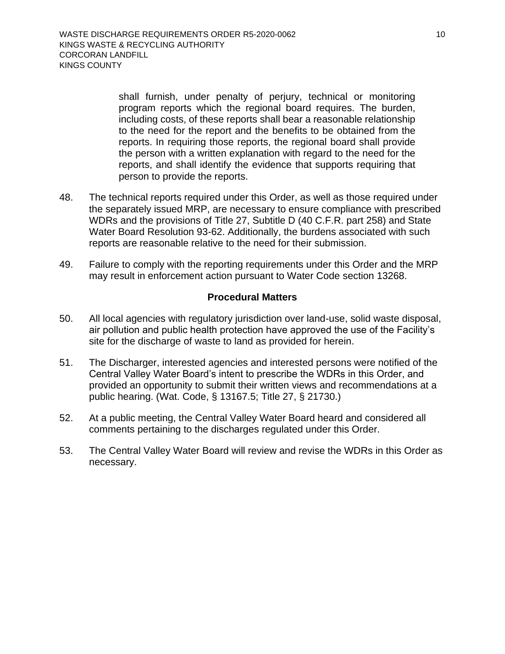shall furnish, under penalty of perjury, technical or monitoring program reports which the regional board requires. The burden, including costs, of these reports shall bear a reasonable relationship to the need for the report and the benefits to be obtained from the reports. In requiring those reports, the regional board shall provide the person with a written explanation with regard to the need for the reports, and shall identify the evidence that supports requiring that person to provide the reports.

- 48. The technical reports required under this Order, as well as those required under the separately issued MRP, are necessary to ensure compliance with prescribed WDRs and the provisions of Title 27, Subtitle D (40 C.F.R. part 258) and State Water Board Resolution 93-62. Additionally, the burdens associated with such reports are reasonable relative to the need for their submission.
- 49. Failure to comply with the reporting requirements under this Order and the MRP may result in enforcement action pursuant to Water Code section 13268.

#### **Procedural Matters**

- <span id="page-17-0"></span>50. All local agencies with regulatory jurisdiction over land-use, solid waste disposal, air pollution and public health protection have approved the use of the Facility's site for the discharge of waste to land as provided for herein.
- 51. The Discharger, interested agencies and interested persons were notified of the Central Valley Water Board's intent to prescribe the WDRs in this Order, and provided an opportunity to submit their written views and recommendations at a public hearing. (Wat. Code, § 13167.5; Title 27, § 21730.)
- 52. At a public meeting, the Central Valley Water Board heard and considered all comments pertaining to the discharges regulated under this Order.
- 53. The Central Valley Water Board will review and revise the WDRs in this Order as necessary.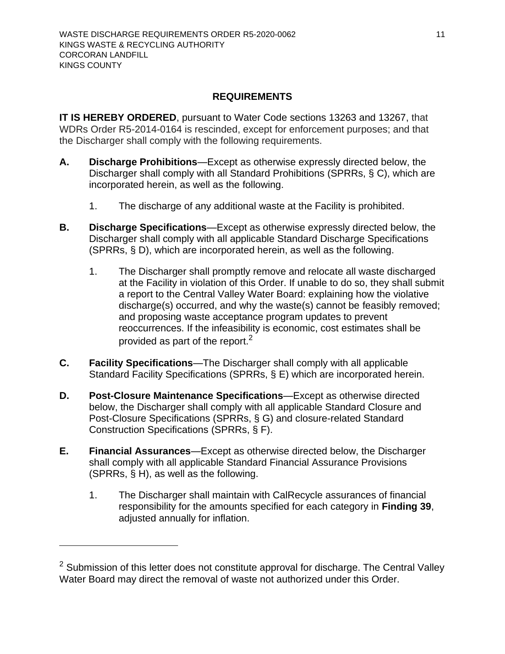### **REQUIREMENTS**

<span id="page-18-0"></span>**IT IS HEREBY ORDERED**, pursuant to Water Code sections 13263 and 13267, that WDRs Order R5-2014-0164 is rescinded, except for enforcement purposes; and that the Discharger shall comply with the following requirements.

- <span id="page-18-1"></span>**A. Discharge Prohibitions**—Except as otherwise expressly directed below, the Discharger shall comply with all Standard Prohibitions (SPRRs, § C), which are incorporated herein, as well as the following.
	- 1. The discharge of any additional waste at the Facility is prohibited.
- <span id="page-18-2"></span>**B. Discharge Specifications**—Except as otherwise expressly directed below, the Discharger shall comply with all applicable Standard Discharge Specifications (SPRRs, § D), which are incorporated herein, as well as the following.
	- 1. The Discharger shall promptly remove and relocate all waste discharged at the Facility in violation of this Order. If unable to do so, they shall submit a report to the Central Valley Water Board: explaining how the violative discharge(s) occurred, and why the waste(s) cannot be feasibly removed; and proposing waste acceptance program updates to prevent reoccurrences. If the infeasibility is economic, cost estimates shall be provided as part of the report. $<sup>2</sup>$ </sup>
- <span id="page-18-3"></span>**C. Facility Specifications**—The Discharger shall comply with all applicable Standard Facility Specifications (SPRRs, § E) which are incorporated herein.
- <span id="page-18-4"></span>**D. Post-Closure Maintenance Specifications**—Except as otherwise directed below, the Discharger shall comply with all applicable Standard Closure and Post-Closure Specifications (SPRRs, § G) and closure-related Standard Construction Specifications (SPRRs, § F).
- <span id="page-18-5"></span>**E. Financial Assurances**—Except as otherwise directed below, the Discharger shall comply with all applicable Standard Financial Assurance Provisions (SPRRs, § H), as well as the following.
	- 1. The Discharger shall maintain with CalRecycle assurances of financial responsibility for the amounts specified for each category in **Finding 39**, adjusted annually for inflation.

 $2$  Submission of this letter does not constitute approval for discharge. The Central Valley Water Board may direct the removal of waste not authorized under this Order.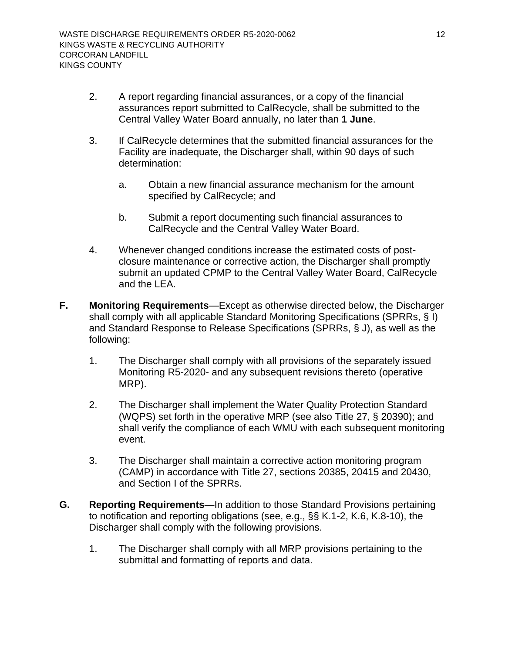- 2. A report regarding financial assurances, or a copy of the financial assurances report submitted to CalRecycle, shall be submitted to the Central Valley Water Board annually, no later than **1 June**.
- 3. If CalRecycle determines that the submitted financial assurances for the Facility are inadequate, the Discharger shall, within 90 days of such determination:
	- a. Obtain a new financial assurance mechanism for the amount specified by CalRecycle; and
	- b. Submit a report documenting such financial assurances to CalRecycle and the Central Valley Water Board.
- 4. Whenever changed conditions increase the estimated costs of postclosure maintenance or corrective action, the Discharger shall promptly submit an updated CPMP to the Central Valley Water Board, CalRecycle and the LEA.
- <span id="page-19-0"></span>**F. Monitoring Requirements**—Except as otherwise directed below, the Discharger shall comply with all applicable Standard Monitoring Specifications (SPRRs, § I) and Standard Response to Release Specifications (SPRRs, § J), as well as the following:
	- 1. The Discharger shall comply with all provisions of the separately issued Monitoring [R5-2020-](#page-0-3) and any subsequent revisions thereto (operative MRP).
	- 2. The Discharger shall implement the Water Quality Protection Standard (WQPS) set forth in the operative MRP (see also Title 27, § 20390); and shall verify the compliance of each WMU with each subsequent monitoring event.
	- 3. The Discharger shall maintain a corrective action monitoring program (CAMP) in accordance with Title 27, sections 20385, 20415 and 20430, and Section I of the SPRRs.
- <span id="page-19-1"></span>**G. Reporting Requirements**—In addition to those Standard Provisions pertaining to notification and reporting obligations (see, e.g., §§ K.1-2, K.6, K.8-10), the Discharger shall comply with the following provisions.
	- 1. The Discharger shall comply with all MRP provisions pertaining to the submittal and formatting of reports and data.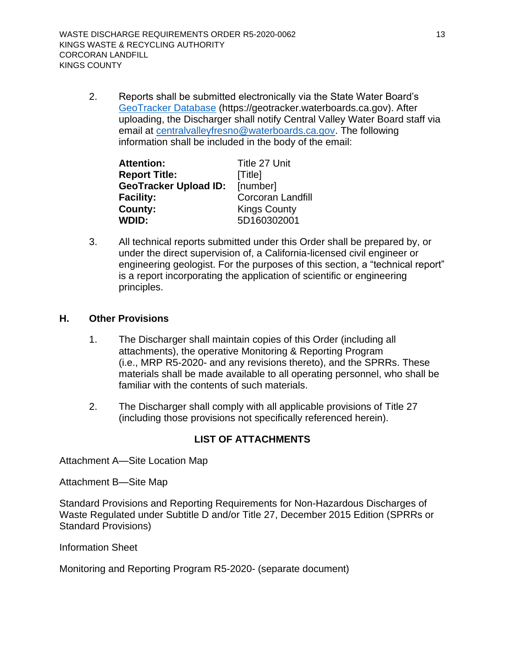2. Reports shall be submitted electronically via the State Water Board's [GeoTracker Database](mailto:https://geotracker.waterboards.ca.gov) (https://geotracker.waterboards.ca.gov). After uploading, the Discharger shall notify Central Valley Water Board staff via email at [centralvalleyfresno@waterboards.ca.gov.](mailto:centralvalleyfresno@waterboards.ca.gov) The following information shall be included in the body of the email:

| <b>Attention:</b>            | Title 27 Unit            |
|------------------------------|--------------------------|
| <b>Report Title:</b>         | [Title]                  |
| <b>GeoTracker Upload ID:</b> | [number]                 |
| <b>Facility:</b>             | <b>Corcoran Landfill</b> |
| County:                      | <b>Kings County</b>      |
| <b>WDID:</b>                 | 5D160302001              |

3. All technical reports submitted under this Order shall be prepared by, or under the direct supervision of, a California-licensed civil engineer or engineering geologist. For the purposes of this section, a "technical report" is a report incorporating the application of scientific or engineering principles.

## <span id="page-20-0"></span>**H. Other Provisions**

- 1. The Discharger shall maintain copies of this Order (including all attachments), the operative Monitoring & Reporting Program (i.e., MRP [R5-2020-](#page-0-3) and any revisions thereto), and the SPRRs. These materials shall be made available to all operating personnel, who shall be familiar with the contents of such materials.
- 2. The Discharger shall comply with all applicable provisions of Title 27 (including those provisions not specifically referenced herein).

## **LIST OF ATTACHMENTS**

[Attachment A—Site Location Map](#page-22-0)

[Attachment B—Site Map](#page-23-0)

Standard Provisions and Reporting Requirements for Non-Hazardous Discharges of Waste Regulated under Subtitle D and/or Title 27, December 2015 Edition (SPRRs or Standard Provisions)

Information Sheet

Monitoring and Reporting Program [R5-2020-](#page-0-3) (separate document)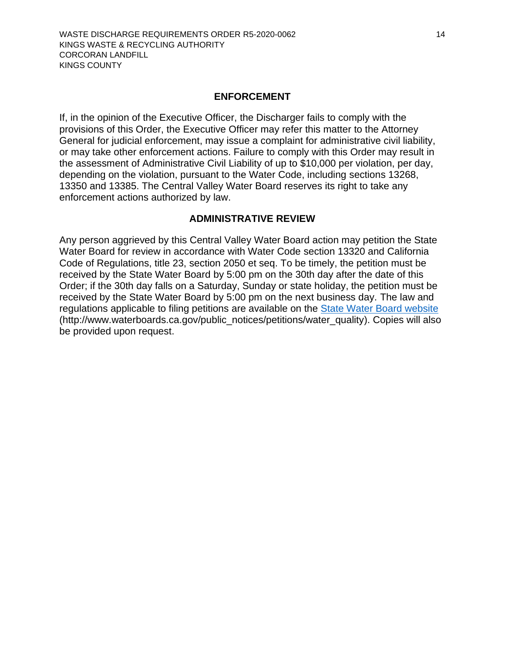#### **ENFORCEMENT**

If, in the opinion of the Executive Officer, the Discharger fails to comply with the provisions of this Order, the Executive Officer may refer this matter to the Attorney General for judicial enforcement, may issue a complaint for administrative civil liability, or may take other enforcement actions. Failure to comply with this Order may result in the assessment of Administrative Civil Liability of up to \$10,000 per violation, per day, depending on the violation, pursuant to the Water Code, including sections 13268, 13350 and 13385. The Central Valley Water Board reserves its right to take any enforcement actions authorized by law.

#### **ADMINISTRATIVE REVIEW**

Any person aggrieved by this Central Valley Water Board action may petition the State Water Board for review in accordance with Water Code section 13320 and California Code of Regulations, title 23, section 2050 et seq. To be timely, the petition must be received by the State Water Board by 5:00 pm on the 30th day after the date of this Order; if the 30th day falls on a Saturday, Sunday or state holiday, the petition must be received by the State Water Board by 5:00 pm on the next business day. The law and regulations applicable to filing petitions are available on the [State Water Board website](http://www.waterboards.ca.gov/public_notices/petitions/water_quality) (http://www.waterboards.ca.gov/public\_notices/petitions/water\_quality). Copies will also be provided upon request.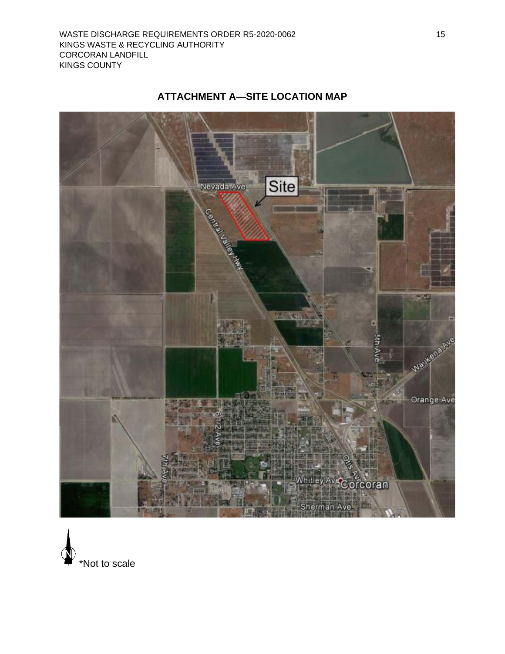<span id="page-22-0"></span>

# **ATTACHMENT A—SITE LOCATION MAP**

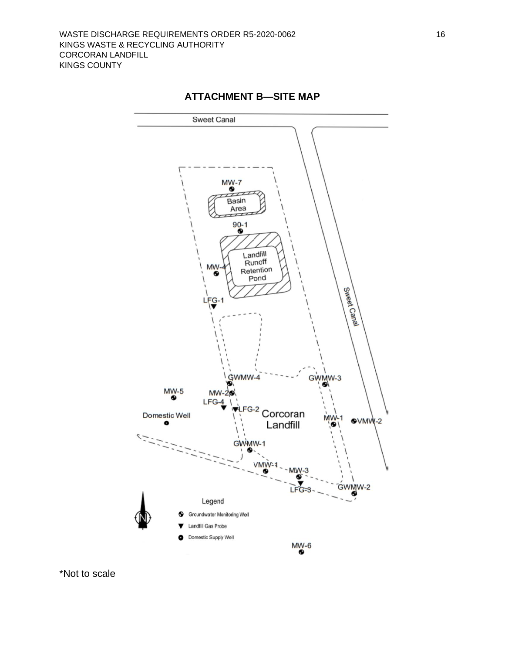

<span id="page-23-0"></span>

\*Not to scale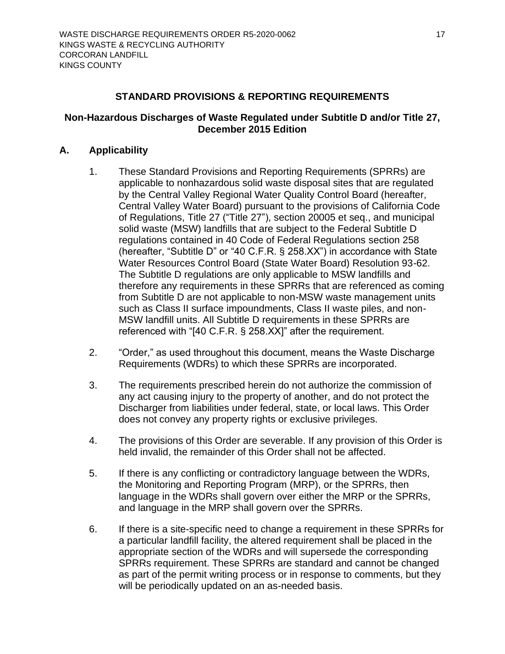### **STANDARD PROVISIONS & REPORTING REQUIREMENTS**

### <span id="page-24-0"></span>**Non-Hazardous Discharges of Waste Regulated under Subtitle D and/or Title 27, December 2015 Edition**

### <span id="page-24-1"></span>**A. Applicability**

- 1. These Standard Provisions and Reporting Requirements (SPRRs) are applicable to nonhazardous solid waste disposal sites that are regulated by the Central Valley Regional Water Quality Control Board (hereafter, Central Valley Water Board) pursuant to the provisions of California Code of Regulations, Title 27 ("Title 27"), section 20005 et seq., and municipal solid waste (MSW) landfills that are subject to the Federal Subtitle D regulations contained in 40 Code of Federal Regulations section 258 (hereafter, "Subtitle D" or "40 C.F.R. § 258.XX") in accordance with State Water Resources Control Board (State Water Board) Resolution 93-62. The Subtitle D regulations are only applicable to MSW landfills and therefore any requirements in these SPRRs that are referenced as coming from Subtitle D are not applicable to non-MSW waste management units such as Class II surface impoundments, Class II waste piles, and non-MSW landfill units. All Subtitle D requirements in these SPRRs are referenced with "[40 C.F.R. § 258.XX]" after the requirement.
- 2. "Order," as used throughout this document, means the Waste Discharge Requirements (WDRs) to which these SPRRs are incorporated.
- 3. The requirements prescribed herein do not authorize the commission of any act causing injury to the property of another, and do not protect the Discharger from liabilities under federal, state, or local laws. This Order does not convey any property rights or exclusive privileges.
- 4. The provisions of this Order are severable. If any provision of this Order is held invalid, the remainder of this Order shall not be affected.
- 5. If there is any conflicting or contradictory language between the WDRs, the Monitoring and Reporting Program (MRP), or the SPRRs, then language in the WDRs shall govern over either the MRP or the SPRRs, and language in the MRP shall govern over the SPRRs.
- 6. If there is a site-specific need to change a requirement in these SPRRs for a particular landfill facility, the altered requirement shall be placed in the appropriate section of the WDRs and will supersede the corresponding SPRRs requirement. These SPRRs are standard and cannot be changed as part of the permit writing process or in response to comments, but they will be periodically updated on an as-needed basis.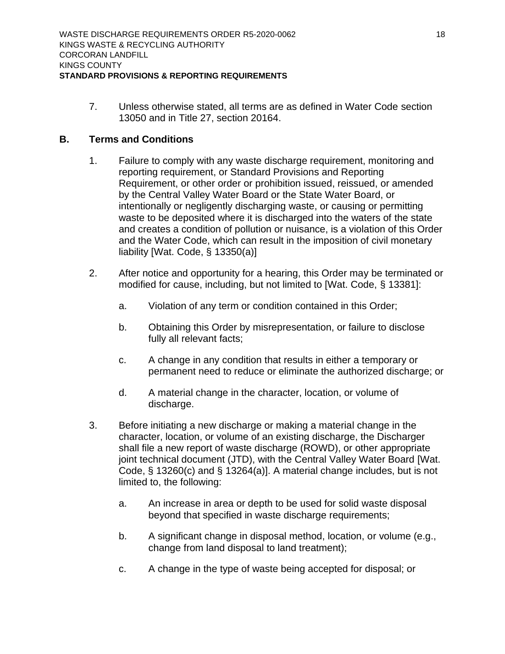7. Unless otherwise stated, all terms are as defined in Water Code section 13050 and in Title 27, section 20164.

#### <span id="page-25-0"></span>**B. Terms and Conditions**

- 1. Failure to comply with any waste discharge requirement, monitoring and reporting requirement, or Standard Provisions and Reporting Requirement, or other order or prohibition issued, reissued, or amended by the Central Valley Water Board or the State Water Board, or intentionally or negligently discharging waste, or causing or permitting waste to be deposited where it is discharged into the waters of the state and creates a condition of pollution or nuisance, is a violation of this Order and the Water Code, which can result in the imposition of civil monetary liability [Wat. Code, § 13350(a)]
- 2. After notice and opportunity for a hearing, this Order may be terminated or modified for cause, including, but not limited to [Wat. Code, § 13381]:
	- a. Violation of any term or condition contained in this Order;
	- b. Obtaining this Order by misrepresentation, or failure to disclose fully all relevant facts;
	- c. A change in any condition that results in either a temporary or permanent need to reduce or eliminate the authorized discharge; or
	- d. A material change in the character, location, or volume of discharge.
- 3. Before initiating a new discharge or making a material change in the character, location, or volume of an existing discharge, the Discharger shall file a new report of waste discharge (ROWD), or other appropriate joint technical document (JTD), with the Central Valley Water Board [Wat. Code, § 13260(c) and § 13264(a)]. A material change includes, but is not limited to, the following:
	- a. An increase in area or depth to be used for solid waste disposal beyond that specified in waste discharge requirements;
	- b. A significant change in disposal method, location, or volume (e.g., change from land disposal to land treatment);
	- c. A change in the type of waste being accepted for disposal; or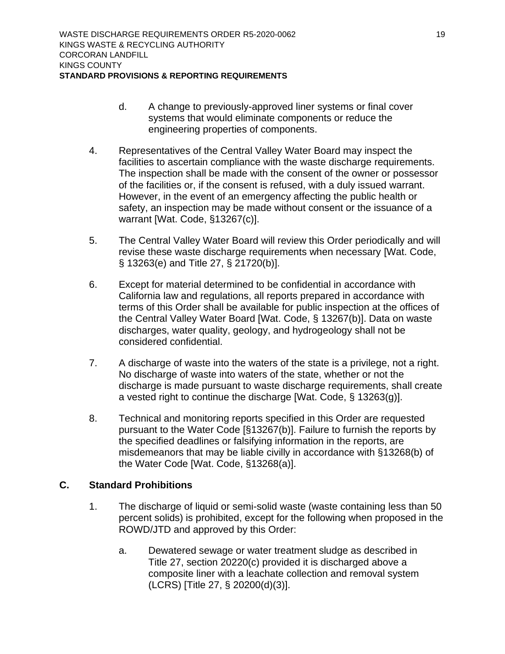- d. A change to previously-approved liner systems or final cover systems that would eliminate components or reduce the engineering properties of components.
- 4. Representatives of the Central Valley Water Board may inspect the facilities to ascertain compliance with the waste discharge requirements. The inspection shall be made with the consent of the owner or possessor of the facilities or, if the consent is refused, with a duly issued warrant. However, in the event of an emergency affecting the public health or safety, an inspection may be made without consent or the issuance of a warrant [Wat. Code, §13267(c)].
- 5. The Central Valley Water Board will review this Order periodically and will revise these waste discharge requirements when necessary [Wat. Code, § 13263(e) and Title 27, § 21720(b)].
- 6. Except for material determined to be confidential in accordance with California law and regulations, all reports prepared in accordance with terms of this Order shall be available for public inspection at the offices of the Central Valley Water Board [Wat. Code, § 13267(b)]. Data on waste discharges, water quality, geology, and hydrogeology shall not be considered confidential.
- 7. A discharge of waste into the waters of the state is a privilege, not a right. No discharge of waste into waters of the state, whether or not the discharge is made pursuant to waste discharge requirements, shall create a vested right to continue the discharge [Wat. Code, § 13263(g)].
- 8. Technical and monitoring reports specified in this Order are requested pursuant to the Water Code [§13267(b)]. Failure to furnish the reports by the specified deadlines or falsifying information in the reports, are misdemeanors that may be liable civilly in accordance with §13268(b) of the Water Code [Wat. Code, §13268(a)].

## <span id="page-26-0"></span>**C. Standard Prohibitions**

- 1. The discharge of liquid or semi-solid waste (waste containing less than 50 percent solids) is prohibited, except for the following when proposed in the ROWD/JTD and approved by this Order:
	- a. Dewatered sewage or water treatment sludge as described in Title 27, section 20220(c) provided it is discharged above a composite liner with a leachate collection and removal system (LCRS) [Title 27, § 20200(d)(3)].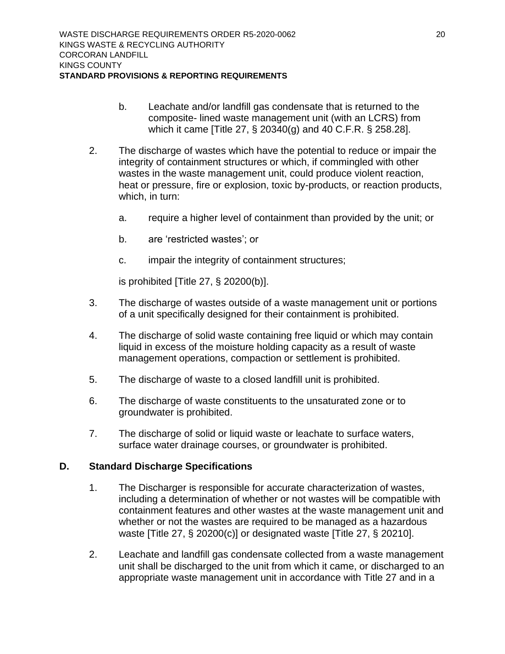- b. Leachate and/or landfill gas condensate that is returned to the composite- lined waste management unit (with an LCRS) from which it came [Title 27, § 20340(g) and 40 C.F.R. § 258.28].
- 2. The discharge of wastes which have the potential to reduce or impair the integrity of containment structures or which, if commingled with other wastes in the waste management unit, could produce violent reaction, heat or pressure, fire or explosion, toxic by-products, or reaction products, which, in turn:
	- a. require a higher level of containment than provided by the unit; or
	- b. are 'restricted wastes'; or
	- c. impair the integrity of containment structures;

is prohibited [Title 27, § 20200(b)].

- 3. The discharge of wastes outside of a waste management unit or portions of a unit specifically designed for their containment is prohibited.
- 4. The discharge of solid waste containing free liquid or which may contain liquid in excess of the moisture holding capacity as a result of waste management operations, compaction or settlement is prohibited.
- 5. The discharge of waste to a closed landfill unit is prohibited.
- 6. The discharge of waste constituents to the unsaturated zone or to groundwater is prohibited.
- 7. The discharge of solid or liquid waste or leachate to surface waters, surface water drainage courses, or groundwater is prohibited.

### <span id="page-27-0"></span>**D. Standard Discharge Specifications**

- 1. The Discharger is responsible for accurate characterization of wastes, including a determination of whether or not wastes will be compatible with containment features and other wastes at the waste management unit and whether or not the wastes are required to be managed as a hazardous waste [Title 27, § 20200(c)] or designated waste [Title 27, § 20210].
- 2. Leachate and landfill gas condensate collected from a waste management unit shall be discharged to the unit from which it came, or discharged to an appropriate waste management unit in accordance with Title 27 and in a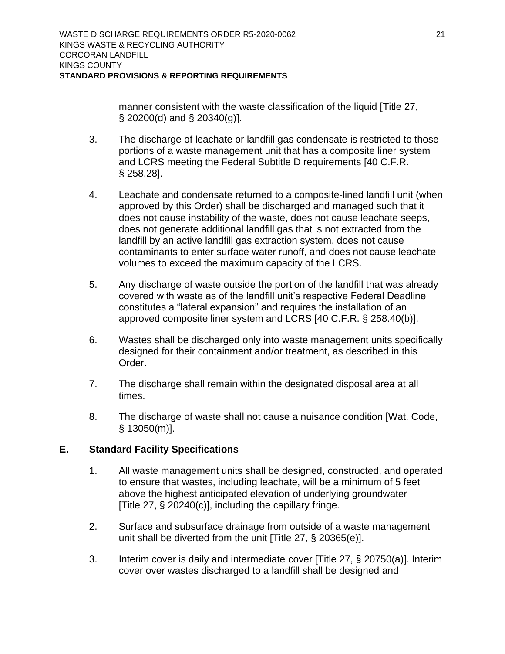manner consistent with the waste classification of the liquid [Title 27, § 20200(d) and § 20340(g)].

- 3. The discharge of leachate or landfill gas condensate is restricted to those portions of a waste management unit that has a composite liner system and LCRS meeting the Federal Subtitle D requirements [40 C.F.R. § 258.28].
- 4. Leachate and condensate returned to a composite-lined landfill unit (when approved by this Order) shall be discharged and managed such that it does not cause instability of the waste, does not cause leachate seeps, does not generate additional landfill gas that is not extracted from the landfill by an active landfill gas extraction system, does not cause contaminants to enter surface water runoff, and does not cause leachate volumes to exceed the maximum capacity of the LCRS.
- 5. Any discharge of waste outside the portion of the landfill that was already covered with waste as of the landfill unit's respective Federal Deadline constitutes a "lateral expansion" and requires the installation of an approved composite liner system and LCRS [40 C.F.R. § 258.40(b)].
- 6. Wastes shall be discharged only into waste management units specifically designed for their containment and/or treatment, as described in this Order.
- 7. The discharge shall remain within the designated disposal area at all times.
- 8. The discharge of waste shall not cause a nuisance condition [Wat. Code, § 13050(m)].

## <span id="page-28-0"></span>**E. Standard Facility Specifications**

- 1. All waste management units shall be designed, constructed, and operated to ensure that wastes, including leachate, will be a minimum of 5 feet above the highest anticipated elevation of underlying groundwater [Title 27, § 20240(c)], including the capillary fringe.
- 2. Surface and subsurface drainage from outside of a waste management unit shall be diverted from the unit [Title 27, § 20365(e)].
- 3. Interim cover is daily and intermediate cover [Title 27, § 20750(a)]. Interim cover over wastes discharged to a landfill shall be designed and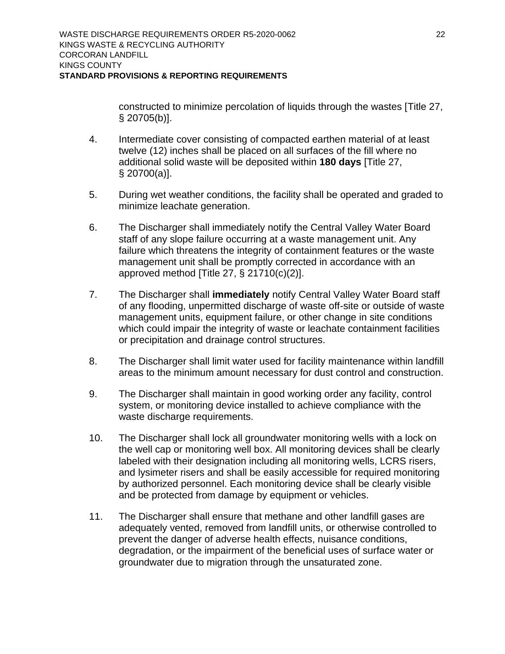constructed to minimize percolation of liquids through the wastes [Title 27, § 20705(b)].

- 4. Intermediate cover consisting of compacted earthen material of at least twelve (12) inches shall be placed on all surfaces of the fill where no additional solid waste will be deposited within **180 days** [Title 27, § 20700(a)].
- 5. During wet weather conditions, the facility shall be operated and graded to minimize leachate generation.
- 6. The Discharger shall immediately notify the Central Valley Water Board staff of any slope failure occurring at a waste management unit. Any failure which threatens the integrity of containment features or the waste management unit shall be promptly corrected in accordance with an approved method [Title 27, § 21710(c)(2)].
- 7. The Discharger shall **immediately** notify Central Valley Water Board staff of any flooding, unpermitted discharge of waste off-site or outside of waste management units, equipment failure, or other change in site conditions which could impair the integrity of waste or leachate containment facilities or precipitation and drainage control structures.
- 8. The Discharger shall limit water used for facility maintenance within landfill areas to the minimum amount necessary for dust control and construction.
- 9. The Discharger shall maintain in good working order any facility, control system, or monitoring device installed to achieve compliance with the waste discharge requirements.
- 10. The Discharger shall lock all groundwater monitoring wells with a lock on the well cap or monitoring well box. All monitoring devices shall be clearly labeled with their designation including all monitoring wells, LCRS risers, and lysimeter risers and shall be easily accessible for required monitoring by authorized personnel. Each monitoring device shall be clearly visible and be protected from damage by equipment or vehicles.
- 11. The Discharger shall ensure that methane and other landfill gases are adequately vented, removed from landfill units, or otherwise controlled to prevent the danger of adverse health effects, nuisance conditions, degradation, or the impairment of the beneficial uses of surface water or groundwater due to migration through the unsaturated zone.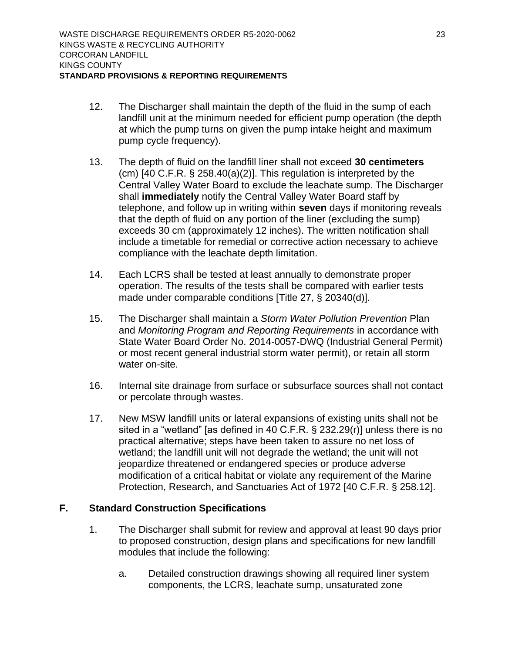- 12. The Discharger shall maintain the depth of the fluid in the sump of each landfill unit at the minimum needed for efficient pump operation (the depth at which the pump turns on given the pump intake height and maximum pump cycle frequency).
- 13. The depth of fluid on the landfill liner shall not exceed **30 centimeters** (cm) [40 C.F.R. § 258.40(a)(2)]. This regulation is interpreted by the Central Valley Water Board to exclude the leachate sump. The Discharger shall **immediately** notify the Central Valley Water Board staff by telephone, and follow up in writing within **seven** days if monitoring reveals that the depth of fluid on any portion of the liner (excluding the sump) exceeds 30 cm (approximately 12 inches). The written notification shall include a timetable for remedial or corrective action necessary to achieve compliance with the leachate depth limitation.
- 14. Each LCRS shall be tested at least annually to demonstrate proper operation. The results of the tests shall be compared with earlier tests made under comparable conditions [Title 27, § 20340(d)].
- 15. The Discharger shall maintain a *Storm Water Pollution Prevention* Plan and *Monitoring Program and Reporting Requirements* in accordance with State Water Board Order No. 2014-0057-DWQ (Industrial General Permit) or most recent general industrial storm water permit), or retain all storm water on-site.
- 16. Internal site drainage from surface or subsurface sources shall not contact or percolate through wastes.
- 17. New MSW landfill units or lateral expansions of existing units shall not be sited in a "wetland" [as defined in 40 C.F.R. § 232.29(r)] unless there is no practical alternative; steps have been taken to assure no net loss of wetland; the landfill unit will not degrade the wetland; the unit will not jeopardize threatened or endangered species or produce adverse modification of a critical habitat or violate any requirement of the Marine Protection, Research, and Sanctuaries Act of 1972 [40 C.F.R. § 258.12].

### <span id="page-30-0"></span>**F. Standard Construction Specifications**

- 1. The Discharger shall submit for review and approval at least 90 days prior to proposed construction, design plans and specifications for new landfill modules that include the following:
	- a. Detailed construction drawings showing all required liner system components, the LCRS, leachate sump, unsaturated zone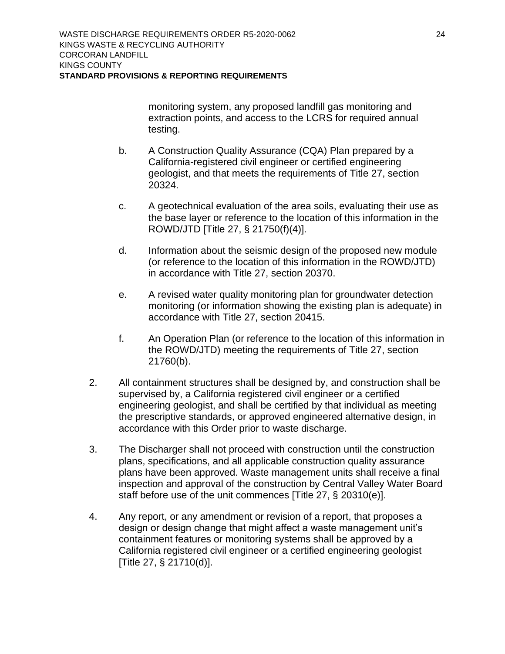monitoring system, any proposed landfill gas monitoring and extraction points, and access to the LCRS for required annual testing.

- b. A Construction Quality Assurance (CQA) Plan prepared by a California-registered civil engineer or certified engineering geologist, and that meets the requirements of Title 27, section 20324.
- c. A geotechnical evaluation of the area soils, evaluating their use as the base layer or reference to the location of this information in the ROWD/JTD [Title 27, § 21750(f)(4)].
- d. Information about the seismic design of the proposed new module (or reference to the location of this information in the ROWD/JTD) in accordance with Title 27, section 20370.
- e. A revised water quality monitoring plan for groundwater detection monitoring (or information showing the existing plan is adequate) in accordance with Title 27, section 20415.
- f. An Operation Plan (or reference to the location of this information in the ROWD/JTD) meeting the requirements of Title 27, section 21760(b).
- 2. All containment structures shall be designed by, and construction shall be supervised by, a California registered civil engineer or a certified engineering geologist, and shall be certified by that individual as meeting the prescriptive standards, or approved engineered alternative design, in accordance with this Order prior to waste discharge.
- 3. The Discharger shall not proceed with construction until the construction plans, specifications, and all applicable construction quality assurance plans have been approved. Waste management units shall receive a final inspection and approval of the construction by Central Valley Water Board staff before use of the unit commences [Title 27, § 20310(e)].
- 4. Any report, or any amendment or revision of a report, that proposes a design or design change that might affect a waste management unit's containment features or monitoring systems shall be approved by a California registered civil engineer or a certified engineering geologist [Title 27, § 21710(d)].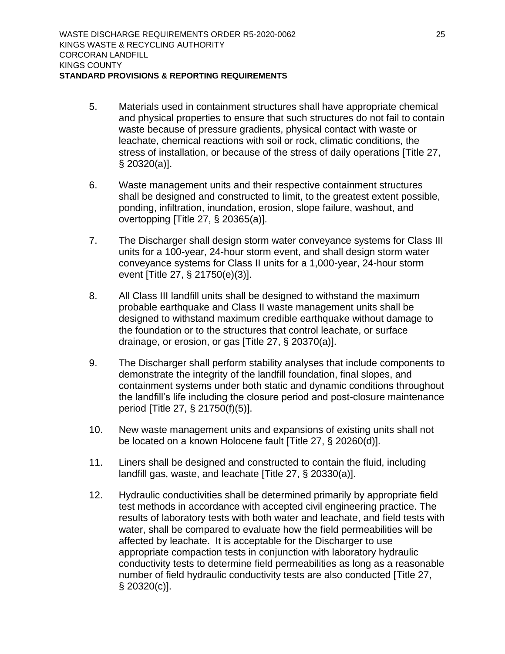- 5. Materials used in containment structures shall have appropriate chemical and physical properties to ensure that such structures do not fail to contain waste because of pressure gradients, physical contact with waste or leachate, chemical reactions with soil or rock, climatic conditions, the stress of installation, or because of the stress of daily operations [Title 27, § 20320(a)].
- 6. Waste management units and their respective containment structures shall be designed and constructed to limit, to the greatest extent possible, ponding, infiltration, inundation, erosion, slope failure, washout, and overtopping [Title 27, § 20365(a)].
- 7. The Discharger shall design storm water conveyance systems for Class III units for a 100-year, 24-hour storm event, and shall design storm water conveyance systems for Class II units for a 1,000-year, 24-hour storm event [Title 27, § 21750(e)(3)].
- 8. All Class III landfill units shall be designed to withstand the maximum probable earthquake and Class II waste management units shall be designed to withstand maximum credible earthquake without damage to the foundation or to the structures that control leachate, or surface drainage, or erosion, or gas [Title 27, § 20370(a)].
- 9. The Discharger shall perform stability analyses that include components to demonstrate the integrity of the landfill foundation, final slopes, and containment systems under both static and dynamic conditions throughout the landfill's life including the closure period and post-closure maintenance period [Title 27, § 21750(f)(5)].
- 10. New waste management units and expansions of existing units shall not be located on a known Holocene fault [Title 27, § 20260(d)].
- 11. Liners shall be designed and constructed to contain the fluid, including landfill gas, waste, and leachate [Title 27, § 20330(a)].
- 12. Hydraulic conductivities shall be determined primarily by appropriate field test methods in accordance with accepted civil engineering practice. The results of laboratory tests with both water and leachate, and field tests with water, shall be compared to evaluate how the field permeabilities will be affected by leachate. It is acceptable for the Discharger to use appropriate compaction tests in conjunction with laboratory hydraulic conductivity tests to determine field permeabilities as long as a reasonable number of field hydraulic conductivity tests are also conducted [Title 27, § 20320(c)].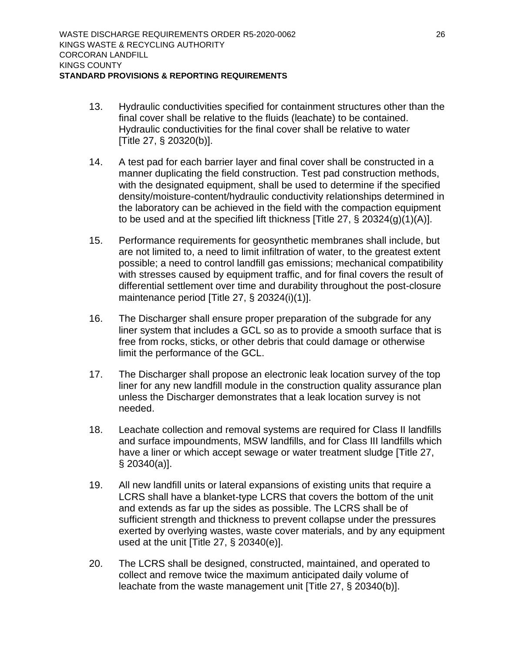- 13. Hydraulic conductivities specified for containment structures other than the final cover shall be relative to the fluids (leachate) to be contained. Hydraulic conductivities for the final cover shall be relative to water [Title 27, § 20320(b)].
- 14. A test pad for each barrier layer and final cover shall be constructed in a manner duplicating the field construction. Test pad construction methods, with the designated equipment, shall be used to determine if the specified density/moisture-content/hydraulic conductivity relationships determined in the laboratory can be achieved in the field with the compaction equipment to be used and at the specified lift thickness [Title 27, § 20324(g)(1)(A)].
- 15. Performance requirements for geosynthetic membranes shall include, but are not limited to, a need to limit infiltration of water, to the greatest extent possible; a need to control landfill gas emissions; mechanical compatibility with stresses caused by equipment traffic, and for final covers the result of differential settlement over time and durability throughout the post-closure maintenance period [Title 27, § 20324(i)(1)].
- 16. The Discharger shall ensure proper preparation of the subgrade for any liner system that includes a GCL so as to provide a smooth surface that is free from rocks, sticks, or other debris that could damage or otherwise limit the performance of the GCL.
- 17. The Discharger shall propose an electronic leak location survey of the top liner for any new landfill module in the construction quality assurance plan unless the Discharger demonstrates that a leak location survey is not needed.
- 18. Leachate collection and removal systems are required for Class II landfills and surface impoundments, MSW landfills, and for Class III landfills which have a liner or which accept sewage or water treatment sludge [Title 27, § 20340(a)].
- 19. All new landfill units or lateral expansions of existing units that require a LCRS shall have a blanket-type LCRS that covers the bottom of the unit and extends as far up the sides as possible. The LCRS shall be of sufficient strength and thickness to prevent collapse under the pressures exerted by overlying wastes, waste cover materials, and by any equipment used at the unit [Title 27, § 20340(e)].
- 20. The LCRS shall be designed, constructed, maintained, and operated to collect and remove twice the maximum anticipated daily volume of leachate from the waste management unit [Title 27, § 20340(b)].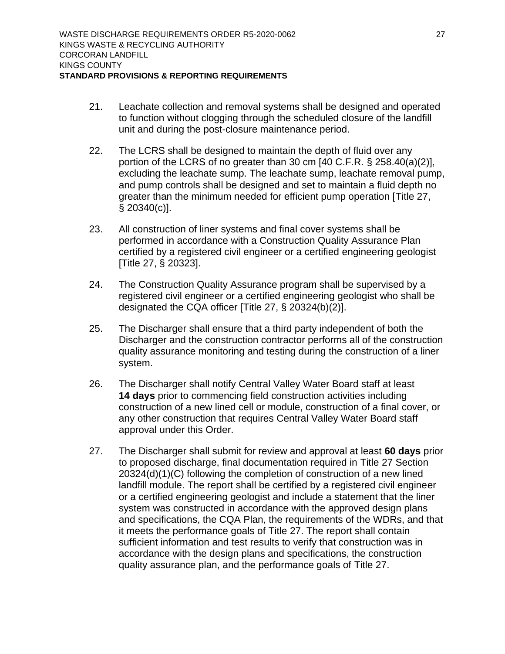- 21. Leachate collection and removal systems shall be designed and operated to function without clogging through the scheduled closure of the landfill unit and during the post-closure maintenance period.
- 22. The LCRS shall be designed to maintain the depth of fluid over any portion of the LCRS of no greater than 30 cm [40 C.F.R. § 258.40(a)(2)], excluding the leachate sump. The leachate sump, leachate removal pump, and pump controls shall be designed and set to maintain a fluid depth no greater than the minimum needed for efficient pump operation [Title 27, § 20340(c)].
- 23. All construction of liner systems and final cover systems shall be performed in accordance with a Construction Quality Assurance Plan certified by a registered civil engineer or a certified engineering geologist [Title 27, § 20323].
- 24. The Construction Quality Assurance program shall be supervised by a registered civil engineer or a certified engineering geologist who shall be designated the CQA officer [Title 27, § 20324(b)(2)].
- 25. The Discharger shall ensure that a third party independent of both the Discharger and the construction contractor performs all of the construction quality assurance monitoring and testing during the construction of a liner system.
- 26. The Discharger shall notify Central Valley Water Board staff at least **14 days** prior to commencing field construction activities including construction of a new lined cell or module, construction of a final cover, or any other construction that requires Central Valley Water Board staff approval under this Order.
- 27. The Discharger shall submit for review and approval at least **60 days** prior to proposed discharge, final documentation required in Title 27 Section 20324(d)(1)(C) following the completion of construction of a new lined landfill module. The report shall be certified by a registered civil engineer or a certified engineering geologist and include a statement that the liner system was constructed in accordance with the approved design plans and specifications, the CQA Plan, the requirements of the WDRs, and that it meets the performance goals of Title 27. The report shall contain sufficient information and test results to verify that construction was in accordance with the design plans and specifications, the construction quality assurance plan, and the performance goals of Title 27.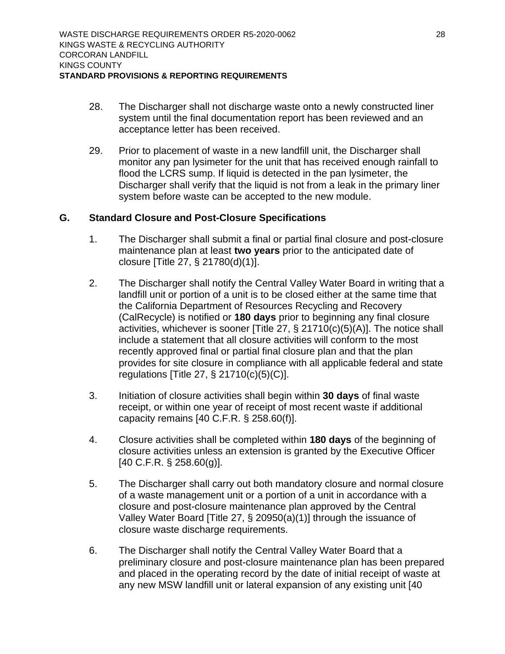- 28. The Discharger shall not discharge waste onto a newly constructed liner system until the final documentation report has been reviewed and an acceptance letter has been received.
- 29. Prior to placement of waste in a new landfill unit, the Discharger shall monitor any pan lysimeter for the unit that has received enough rainfall to flood the LCRS sump. If liquid is detected in the pan Ivsimeter, the Discharger shall verify that the liquid is not from a leak in the primary liner system before waste can be accepted to the new module.

#### <span id="page-35-0"></span>**G. Standard Closure and Post-Closure Specifications**

- 1. The Discharger shall submit a final or partial final closure and post-closure maintenance plan at least **two years** prior to the anticipated date of closure [Title 27, § 21780(d)(1)].
- 2. The Discharger shall notify the Central Valley Water Board in writing that a landfill unit or portion of a unit is to be closed either at the same time that the California Department of Resources Recycling and Recovery (CalRecycle) is notified or **180 days** prior to beginning any final closure activities, whichever is sooner [Title 27, § 21710(c)(5)(A)]. The notice shall include a statement that all closure activities will conform to the most recently approved final or partial final closure plan and that the plan provides for site closure in compliance with all applicable federal and state regulations [Title 27, § 21710(c)(5)(C)].
- 3. Initiation of closure activities shall begin within **30 days** of final waste receipt, or within one year of receipt of most recent waste if additional capacity remains [40 C.F.R. § 258.60(f)].
- 4. Closure activities shall be completed within **180 days** of the beginning of closure activities unless an extension is granted by the Executive Officer [40 C.F.R. § 258.60(g)].
- 5. The Discharger shall carry out both mandatory closure and normal closure of a waste management unit or a portion of a unit in accordance with a closure and post-closure maintenance plan approved by the Central Valley Water Board [Title 27, § 20950(a)(1)] through the issuance of closure waste discharge requirements.
- 6. The Discharger shall notify the Central Valley Water Board that a preliminary closure and post-closure maintenance plan has been prepared and placed in the operating record by the date of initial receipt of waste at any new MSW landfill unit or lateral expansion of any existing unit [40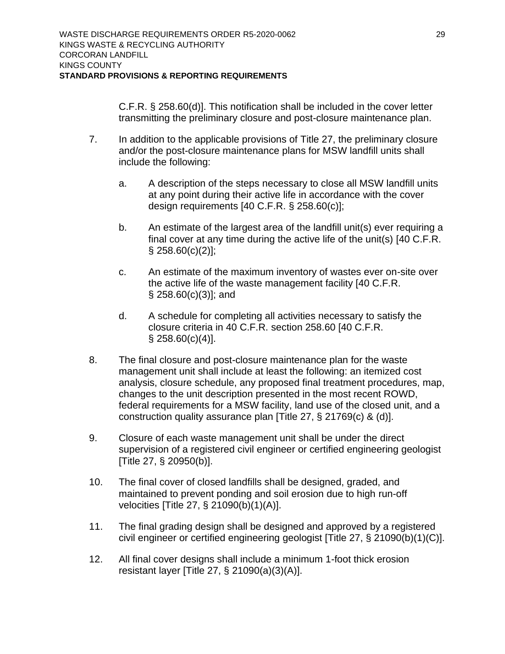C.F.R. § 258.60(d)]. This notification shall be included in the cover letter transmitting the preliminary closure and post-closure maintenance plan.

- 7. In addition to the applicable provisions of Title 27, the preliminary closure and/or the post-closure maintenance plans for MSW landfill units shall include the following:
	- a. A description of the steps necessary to close all MSW landfill units at any point during their active life in accordance with the cover design requirements [40 C.F.R. § 258.60(c)];
	- b. An estimate of the largest area of the landfill unit(s) ever requiring a final cover at any time during the active life of the unit(s) [40 C.F.R.  $§$  258.60(c)(2)];
	- c. An estimate of the maximum inventory of wastes ever on-site over the active life of the waste management facility [40 C.F.R.  $\S$  258.60(c)(3)]; and
	- d. A schedule for completing all activities necessary to satisfy the closure criteria in 40 C.F.R. section 258.60 [40 C.F.R.  $§$  258.60(c)(4)].
- 8. The final closure and post-closure maintenance plan for the waste management unit shall include at least the following: an itemized cost analysis, closure schedule, any proposed final treatment procedures, map, changes to the unit description presented in the most recent ROWD, federal requirements for a MSW facility, land use of the closed unit, and a construction quality assurance plan [Title 27, § 21769(c) & (d)].
- 9. Closure of each waste management unit shall be under the direct supervision of a registered civil engineer or certified engineering geologist [Title 27, § 20950(b)].
- 10. The final cover of closed landfills shall be designed, graded, and maintained to prevent ponding and soil erosion due to high run-off velocities [Title 27, § 21090(b)(1)(A)].
- 11. The final grading design shall be designed and approved by a registered civil engineer or certified engineering geologist [Title 27, § 21090(b)(1)(C)].
- 12. All final cover designs shall include a minimum 1-foot thick erosion resistant layer [Title 27, § 21090(a)(3)(A)].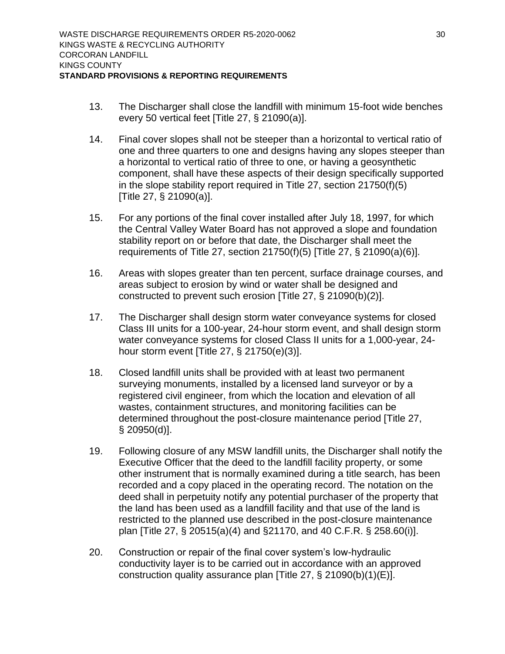- 13. The Discharger shall close the landfill with minimum 15-foot wide benches every 50 vertical feet [Title 27, § 21090(a)].
- 14. Final cover slopes shall not be steeper than a horizontal to vertical ratio of one and three quarters to one and designs having any slopes steeper than a horizontal to vertical ratio of three to one, or having a geosynthetic component, shall have these aspects of their design specifically supported in the slope stability report required in Title 27, section 21750(f)(5) [Title 27, § 21090(a)].
- 15. For any portions of the final cover installed after July 18, 1997, for which the Central Valley Water Board has not approved a slope and foundation stability report on or before that date, the Discharger shall meet the requirements of Title 27, section 21750(f)(5) [Title 27, § 21090(a)(6)].
- 16. Areas with slopes greater than ten percent, surface drainage courses, and areas subject to erosion by wind or water shall be designed and constructed to prevent such erosion [Title 27, § 21090(b)(2)].
- 17. The Discharger shall design storm water conveyance systems for closed Class III units for a 100-year, 24-hour storm event, and shall design storm water conveyance systems for closed Class II units for a 1,000-year, 24 hour storm event [Title 27, § 21750(e)(3)].
- 18. Closed landfill units shall be provided with at least two permanent surveying monuments, installed by a licensed land surveyor or by a registered civil engineer, from which the location and elevation of all wastes, containment structures, and monitoring facilities can be determined throughout the post-closure maintenance period [Title 27, § 20950(d)].
- 19. Following closure of any MSW landfill units, the Discharger shall notify the Executive Officer that the deed to the landfill facility property, or some other instrument that is normally examined during a title search, has been recorded and a copy placed in the operating record. The notation on the deed shall in perpetuity notify any potential purchaser of the property that the land has been used as a landfill facility and that use of the land is restricted to the planned use described in the post-closure maintenance plan [Title 27, § 20515(a)(4) and §21170, and 40 C.F.R. § 258.60(i)].
- 20. Construction or repair of the final cover system's low-hydraulic conductivity layer is to be carried out in accordance with an approved construction quality assurance plan [Title 27, § 21090(b)(1)(E)].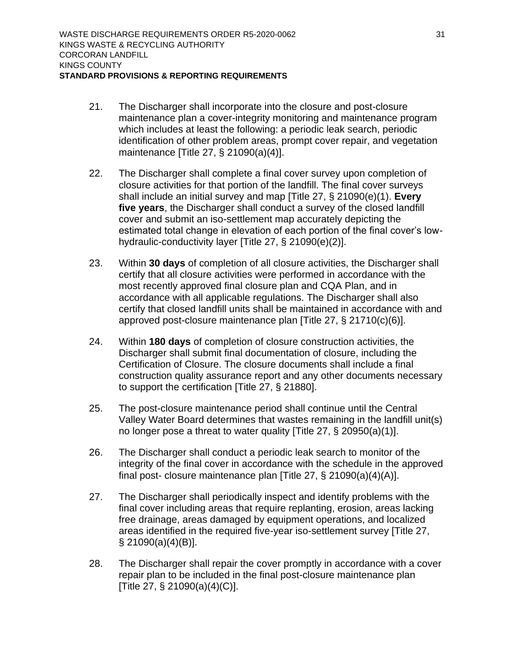- 21. The Discharger shall incorporate into the closure and post-closure maintenance plan a cover-integrity monitoring and maintenance program which includes at least the following: a periodic leak search, periodic identification of other problem areas, prompt cover repair, and vegetation maintenance [Title 27, § 21090(a)(4)].
- 22. The Discharger shall complete a final cover survey upon completion of closure activities for that portion of the landfill. The final cover surveys shall include an initial survey and map [Title 27, § 21090(e)(1). **Every five years**, the Discharger shall conduct a survey of the closed landfill cover and submit an iso-settlement map accurately depicting the estimated total change in elevation of each portion of the final cover's lowhydraulic-conductivity layer [Title 27, § 21090(e)(2)].
- 23. Within **30 days** of completion of all closure activities, the Discharger shall certify that all closure activities were performed in accordance with the most recently approved final closure plan and CQA Plan, and in accordance with all applicable regulations. The Discharger shall also certify that closed landfill units shall be maintained in accordance with and approved post-closure maintenance plan [Title 27, § 21710(c)(6)].
- 24. Within **180 days** of completion of closure construction activities, the Discharger shall submit final documentation of closure, including the Certification of Closure. The closure documents shall include a final construction quality assurance report and any other documents necessary to support the certification [Title 27, § 21880].
- 25. The post-closure maintenance period shall continue until the Central Valley Water Board determines that wastes remaining in the landfill unit(s) no longer pose a threat to water quality [Title 27, § 20950(a)(1)].
- 26. The Discharger shall conduct a periodic leak search to monitor of the integrity of the final cover in accordance with the schedule in the approved final post- closure maintenance plan [Title 27, § 21090(a)(4)(A)].
- 27. The Discharger shall periodically inspect and identify problems with the final cover including areas that require replanting, erosion, areas lacking free drainage, areas damaged by equipment operations, and localized areas identified in the required five-year iso-settlement survey [Title 27, § 21090(a)(4)(B)].
- 28. The Discharger shall repair the cover promptly in accordance with a cover repair plan to be included in the final post-closure maintenance plan [Title 27, § 21090(a)(4)(C)].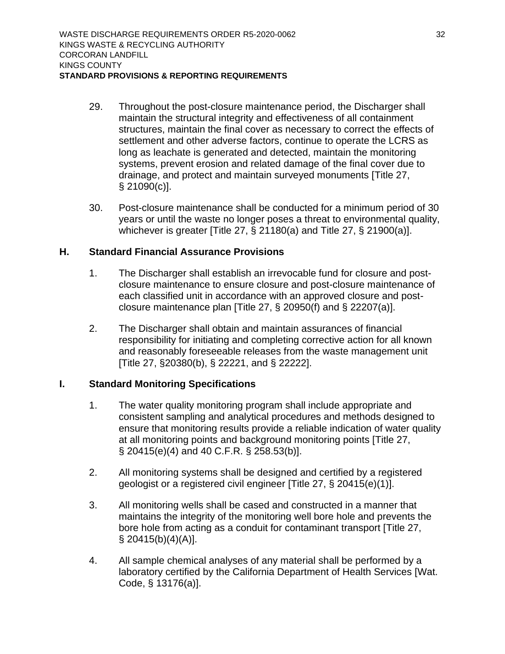- 29. Throughout the post-closure maintenance period, the Discharger shall maintain the structural integrity and effectiveness of all containment structures, maintain the final cover as necessary to correct the effects of settlement and other adverse factors, continue to operate the LCRS as long as leachate is generated and detected, maintain the monitoring systems, prevent erosion and related damage of the final cover due to drainage, and protect and maintain surveyed monuments [Title 27, § 21090(c)].
- 30. Post-closure maintenance shall be conducted for a minimum period of 30 years or until the waste no longer poses a threat to environmental quality, whichever is greater [Title 27, § 21180(a) and Title 27, § 21900(a)].

### <span id="page-39-0"></span>**H. Standard Financial Assurance Provisions**

- 1. The Discharger shall establish an irrevocable fund for closure and postclosure maintenance to ensure closure and post-closure maintenance of each classified unit in accordance with an approved closure and postclosure maintenance plan [Title 27,  $\S$  20950(f) and  $\S$  22207(a)].
- 2. The Discharger shall obtain and maintain assurances of financial responsibility for initiating and completing corrective action for all known and reasonably foreseeable releases from the waste management unit [Title 27, §20380(b), § 22221, and § 22222].

### <span id="page-39-1"></span>**I. Standard Monitoring Specifications**

- 1. The water quality monitoring program shall include appropriate and consistent sampling and analytical procedures and methods designed to ensure that monitoring results provide a reliable indication of water quality at all monitoring points and background monitoring points [Title 27, § 20415(e)(4) and 40 C.F.R. § 258.53(b)].
- 2. All monitoring systems shall be designed and certified by a registered geologist or a registered civil engineer [Title 27, § 20415(e)(1)].
- 3. All monitoring wells shall be cased and constructed in a manner that maintains the integrity of the monitoring well bore hole and prevents the bore hole from acting as a conduit for contaminant transport [Title 27,  $§$  20415(b)(4)(A)].
- 4. All sample chemical analyses of any material shall be performed by a laboratory certified by the California Department of Health Services [Wat. Code, § 13176(a)].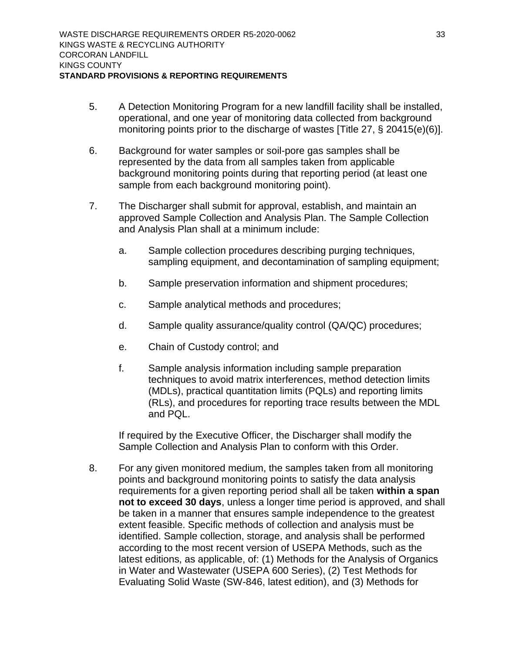- 5. A Detection Monitoring Program for a new landfill facility shall be installed, operational, and one year of monitoring data collected from background monitoring points prior to the discharge of wastes [Title 27, § 20415(e)(6)].
- 6. Background for water samples or soil-pore gas samples shall be represented by the data from all samples taken from applicable background monitoring points during that reporting period (at least one sample from each background monitoring point).
- 7. The Discharger shall submit for approval, establish, and maintain an approved Sample Collection and Analysis Plan. The Sample Collection and Analysis Plan shall at a minimum include:
	- a. Sample collection procedures describing purging techniques, sampling equipment, and decontamination of sampling equipment;
	- b. Sample preservation information and shipment procedures;
	- c. Sample analytical methods and procedures;
	- d. Sample quality assurance/quality control (QA/QC) procedures;
	- e. Chain of Custody control; and
	- f. Sample analysis information including sample preparation techniques to avoid matrix interferences, method detection limits (MDLs), practical quantitation limits (PQLs) and reporting limits (RLs), and procedures for reporting trace results between the MDL and PQL.

If required by the Executive Officer, the Discharger shall modify the Sample Collection and Analysis Plan to conform with this Order.

8. For any given monitored medium, the samples taken from all monitoring points and background monitoring points to satisfy the data analysis requirements for a given reporting period shall all be taken **within a span not to exceed 30 days**, unless a longer time period is approved, and shall be taken in a manner that ensures sample independence to the greatest extent feasible. Specific methods of collection and analysis must be identified. Sample collection, storage, and analysis shall be performed according to the most recent version of USEPA Methods, such as the latest editions, as applicable, of: (1) Methods for the Analysis of Organics in Water and Wastewater (USEPA 600 Series), (2) Test Methods for Evaluating Solid Waste (SW-846, latest edition), and (3) Methods for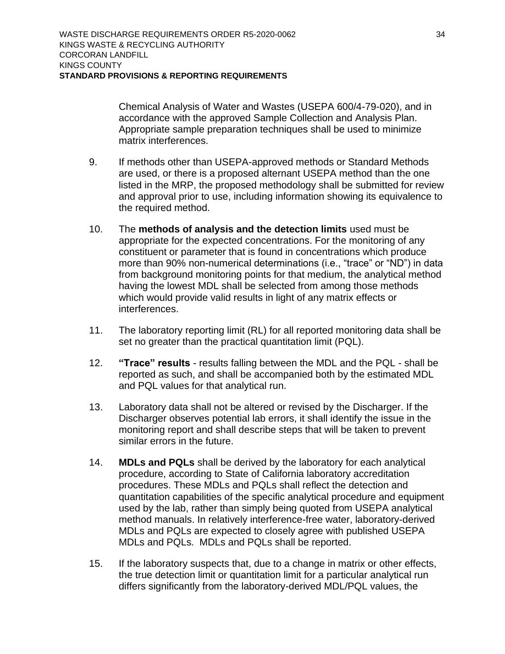Chemical Analysis of Water and Wastes (USEPA 600/4-79-020), and in accordance with the approved Sample Collection and Analysis Plan. Appropriate sample preparation techniques shall be used to minimize matrix interferences.

- 9. If methods other than USEPA-approved methods or Standard Methods are used, or there is a proposed alternant USEPA method than the one listed in the MRP, the proposed methodology shall be submitted for review and approval prior to use, including information showing its equivalence to the required method.
- 10. The **methods of analysis and the detection limits** used must be appropriate for the expected concentrations. For the monitoring of any constituent or parameter that is found in concentrations which produce more than 90% non-numerical determinations (i.e., "trace" or "ND") in data from background monitoring points for that medium, the analytical method having the lowest MDL shall be selected from among those methods which would provide valid results in light of any matrix effects or interferences.
- 11. The laboratory reporting limit (RL) for all reported monitoring data shall be set no greater than the practical quantitation limit (PQL).
- 12. **"Trace" results** results falling between the MDL and the PQL shall be reported as such, and shall be accompanied both by the estimated MDL and PQL values for that analytical run.
- 13. Laboratory data shall not be altered or revised by the Discharger. If the Discharger observes potential lab errors, it shall identify the issue in the monitoring report and shall describe steps that will be taken to prevent similar errors in the future.
- 14. **MDLs and PQLs** shall be derived by the laboratory for each analytical procedure, according to State of California laboratory accreditation procedures. These MDLs and PQLs shall reflect the detection and quantitation capabilities of the specific analytical procedure and equipment used by the lab, rather than simply being quoted from USEPA analytical method manuals. In relatively interference-free water, laboratory-derived MDLs and PQLs are expected to closely agree with published USEPA MDLs and PQLs. MDLs and PQLs shall be reported.
- 15. If the laboratory suspects that, due to a change in matrix or other effects, the true detection limit or quantitation limit for a particular analytical run differs significantly from the laboratory-derived MDL/PQL values, the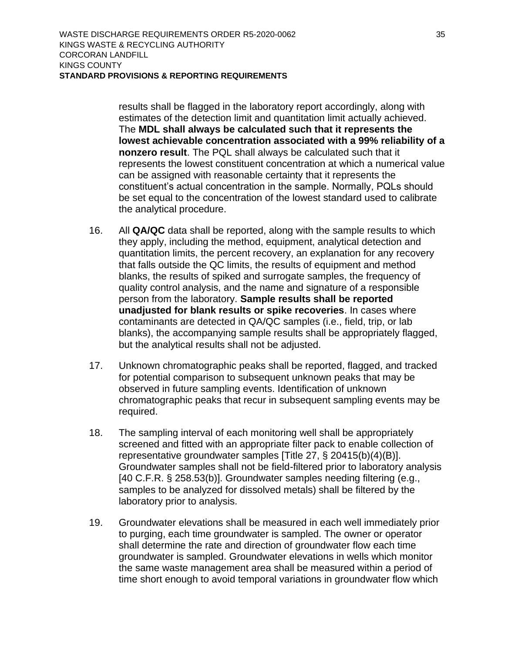results shall be flagged in the laboratory report accordingly, along with estimates of the detection limit and quantitation limit actually achieved. The **MDL shall always be calculated such that it represents the lowest achievable concentration associated with a 99% reliability of a nonzero result**. The PQL shall always be calculated such that it represents the lowest constituent concentration at which a numerical value can be assigned with reasonable certainty that it represents the constituent's actual concentration in the sample. Normally, PQLs should be set equal to the concentration of the lowest standard used to calibrate the analytical procedure.

- 16. All **QA/QC** data shall be reported, along with the sample results to which they apply, including the method, equipment, analytical detection and quantitation limits, the percent recovery, an explanation for any recovery that falls outside the QC limits, the results of equipment and method blanks, the results of spiked and surrogate samples, the frequency of quality control analysis, and the name and signature of a responsible person from the laboratory. **Sample results shall be reported unadjusted for blank results or spike recoveries**. In cases where contaminants are detected in QA/QC samples (i.e., field, trip, or lab blanks), the accompanying sample results shall be appropriately flagged, but the analytical results shall not be adjusted.
- 17. Unknown chromatographic peaks shall be reported, flagged, and tracked for potential comparison to subsequent unknown peaks that may be observed in future sampling events. Identification of unknown chromatographic peaks that recur in subsequent sampling events may be required.
- 18. The sampling interval of each monitoring well shall be appropriately screened and fitted with an appropriate filter pack to enable collection of representative groundwater samples [Title 27, § 20415(b)(4)(B)]. Groundwater samples shall not be field-filtered prior to laboratory analysis [40 C.F.R. § 258.53(b)]. Groundwater samples needing filtering (e.g., samples to be analyzed for dissolved metals) shall be filtered by the laboratory prior to analysis.
- 19. Groundwater elevations shall be measured in each well immediately prior to purging, each time groundwater is sampled. The owner or operator shall determine the rate and direction of groundwater flow each time groundwater is sampled. Groundwater elevations in wells which monitor the same waste management area shall be measured within a period of time short enough to avoid temporal variations in groundwater flow which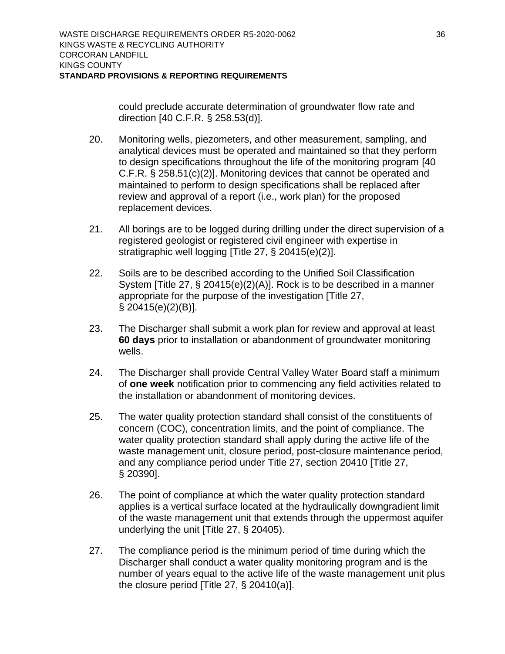could preclude accurate determination of groundwater flow rate and direction [40 C.F.R. § 258.53(d)].

- 20. Monitoring wells, piezometers, and other measurement, sampling, and analytical devices must be operated and maintained so that they perform to design specifications throughout the life of the monitoring program [40 C.F.R. § 258.51(c)(2)]. Monitoring devices that cannot be operated and maintained to perform to design specifications shall be replaced after review and approval of a report (i.e., work plan) for the proposed replacement devices.
- 21. All borings are to be logged during drilling under the direct supervision of a registered geologist or registered civil engineer with expertise in stratigraphic well logging [Title 27, § 20415(e)(2)].
- 22. Soils are to be described according to the Unified Soil Classification System [Title 27, § 20415(e)(2)(A)]. Rock is to be described in a manner appropriate for the purpose of the investigation [Title 27, § 20415(e)(2)(B)].
- 23. The Discharger shall submit a work plan for review and approval at least **60 days** prior to installation or abandonment of groundwater monitoring wells.
- 24. The Discharger shall provide Central Valley Water Board staff a minimum of **one week** notification prior to commencing any field activities related to the installation or abandonment of monitoring devices.
- 25. The water quality protection standard shall consist of the constituents of concern (COC), concentration limits, and the point of compliance. The water quality protection standard shall apply during the active life of the waste management unit, closure period, post-closure maintenance period, and any compliance period under Title 27, section 20410 [Title 27, § 20390].
- 26. The point of compliance at which the water quality protection standard applies is a vertical surface located at the hydraulically downgradient limit of the waste management unit that extends through the uppermost aquifer underlying the unit [Title 27, § 20405).
- 27. The compliance period is the minimum period of time during which the Discharger shall conduct a water quality monitoring program and is the number of years equal to the active life of the waste management unit plus the closure period [Title 27, § 20410(a)].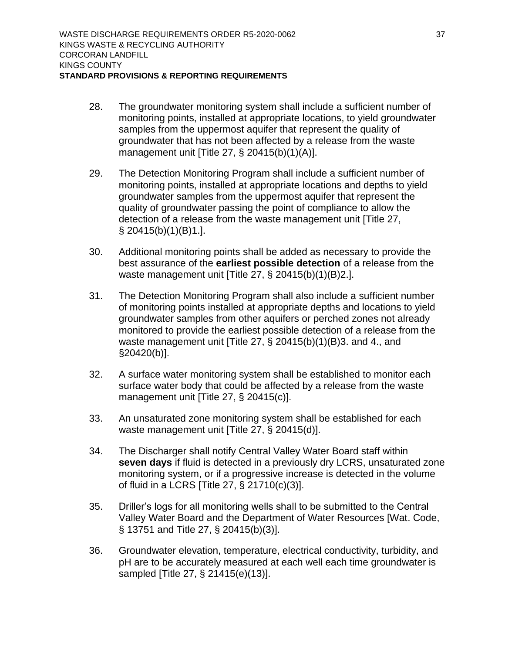- 28. The groundwater monitoring system shall include a sufficient number of monitoring points, installed at appropriate locations, to yield groundwater samples from the uppermost aquifer that represent the quality of groundwater that has not been affected by a release from the waste management unit [Title 27, § 20415(b)(1)(A)].
- 29. The Detection Monitoring Program shall include a sufficient number of monitoring points, installed at appropriate locations and depths to yield groundwater samples from the uppermost aquifer that represent the quality of groundwater passing the point of compliance to allow the detection of a release from the waste management unit [Title 27, § 20415(b)(1)(B)1.].
- 30. Additional monitoring points shall be added as necessary to provide the best assurance of the **earliest possible detection** of a release from the waste management unit [Title 27, § 20415(b)(1)(B)2.].
- 31. The Detection Monitoring Program shall also include a sufficient number of monitoring points installed at appropriate depths and locations to yield groundwater samples from other aquifers or perched zones not already monitored to provide the earliest possible detection of a release from the waste management unit [Title 27, § 20415(b)(1)(B)3. and 4., and §20420(b)].
- 32. A surface water monitoring system shall be established to monitor each surface water body that could be affected by a release from the waste management unit [Title 27, § 20415(c)].
- 33. An unsaturated zone monitoring system shall be established for each waste management unit [Title 27, § 20415(d)].
- 34. The Discharger shall notify Central Valley Water Board staff within **seven days** if fluid is detected in a previously dry LCRS, unsaturated zone monitoring system, or if a progressive increase is detected in the volume of fluid in a LCRS [Title 27, § 21710(c)(3)].
- 35. Driller's logs for all monitoring wells shall to be submitted to the Central Valley Water Board and the Department of Water Resources [Wat. Code, § 13751 and Title 27, § 20415(b)(3)].
- 36. Groundwater elevation, temperature, electrical conductivity, turbidity, and pH are to be accurately measured at each well each time groundwater is sampled [Title 27, § 21415(e)(13)].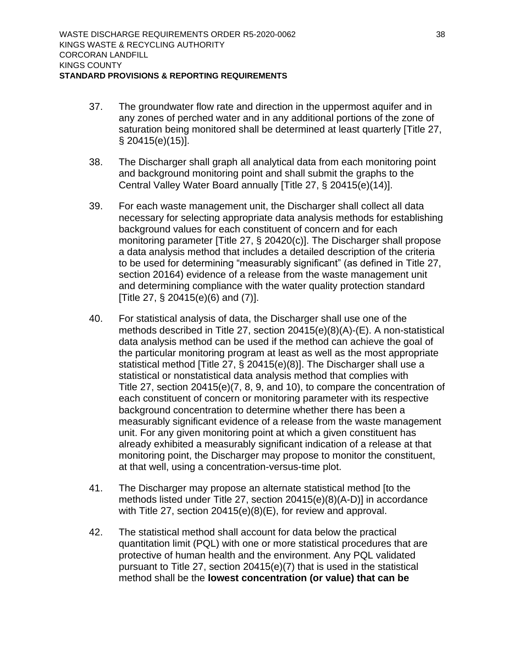- 37. The groundwater flow rate and direction in the uppermost aquifer and in any zones of perched water and in any additional portions of the zone of saturation being monitored shall be determined at least quarterly [Title 27, § 20415(e)(15)].
- 38. The Discharger shall graph all analytical data from each monitoring point and background monitoring point and shall submit the graphs to the Central Valley Water Board annually [Title 27, § 20415(e)(14)].
- 39. For each waste management unit, the Discharger shall collect all data necessary for selecting appropriate data analysis methods for establishing background values for each constituent of concern and for each monitoring parameter [Title 27, § 20420(c)]. The Discharger shall propose a data analysis method that includes a detailed description of the criteria to be used for determining "measurably significant" (as defined in Title 27, section 20164) evidence of a release from the waste management unit and determining compliance with the water quality protection standard [Title 27, § 20415(e)(6) and (7)].
- 40. For statistical analysis of data, the Discharger shall use one of the methods described in Title 27, section 20415(e)(8)(A)-(E). A non-statistical data analysis method can be used if the method can achieve the goal of the particular monitoring program at least as well as the most appropriate statistical method [Title 27, § 20415(e)(8)]. The Discharger shall use a statistical or nonstatistical data analysis method that complies with Title 27, section 20415(e)(7, 8, 9, and 10), to compare the concentration of each constituent of concern or monitoring parameter with its respective background concentration to determine whether there has been a measurably significant evidence of a release from the waste management unit. For any given monitoring point at which a given constituent has already exhibited a measurably significant indication of a release at that monitoring point, the Discharger may propose to monitor the constituent, at that well, using a concentration-versus-time plot.
- 41. The Discharger may propose an alternate statistical method [to the methods listed under Title 27, section 20415(e)(8)(A-D)] in accordance with Title 27, section 20415(e)(8)(E), for review and approval.
- 42. The statistical method shall account for data below the practical quantitation limit (PQL) with one or more statistical procedures that are protective of human health and the environment. Any PQL validated pursuant to Title 27, section 20415(e)(7) that is used in the statistical method shall be the **lowest concentration (or value) that can be**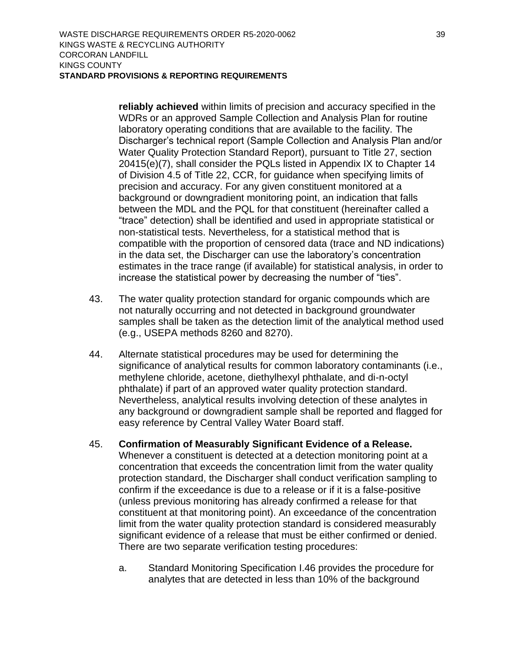**reliably achieved** within limits of precision and accuracy specified in the WDRs or an approved Sample Collection and Analysis Plan for routine laboratory operating conditions that are available to the facility. The Discharger's technical report (Sample Collection and Analysis Plan and/or Water Quality Protection Standard Report), pursuant to Title 27, section 20415(e)(7), shall consider the PQLs listed in Appendix IX to Chapter 14 of Division 4.5 of Title 22, CCR, for guidance when specifying limits of precision and accuracy. For any given constituent monitored at a background or downgradient monitoring point, an indication that falls between the MDL and the PQL for that constituent (hereinafter called a "trace" detection) shall be identified and used in appropriate statistical or non-statistical tests. Nevertheless, for a statistical method that is compatible with the proportion of censored data (trace and ND indications) in the data set, the Discharger can use the laboratory's concentration estimates in the trace range (if available) for statistical analysis, in order to increase the statistical power by decreasing the number of "ties".

- 43. The water quality protection standard for organic compounds which are not naturally occurring and not detected in background groundwater samples shall be taken as the detection limit of the analytical method used (e.g., USEPA methods 8260 and 8270).
- 44. Alternate statistical procedures may be used for determining the significance of analytical results for common laboratory contaminants (i.e., methylene chloride, acetone, diethylhexyl phthalate, and di-n-octyl phthalate) if part of an approved water quality protection standard. Nevertheless, analytical results involving detection of these analytes in any background or downgradient sample shall be reported and flagged for easy reference by Central Valley Water Board staff.
- 45. **Confirmation of Measurably Significant Evidence of a Release.** Whenever a constituent is detected at a detection monitoring point at a concentration that exceeds the concentration limit from the water quality protection standard, the Discharger shall conduct verification sampling to confirm if the exceedance is due to a release or if it is a false-positive (unless previous monitoring has already confirmed a release for that constituent at that monitoring point). An exceedance of the concentration limit from the water quality protection standard is considered measurably significant evidence of a release that must be either confirmed or denied. There are two separate verification testing procedures:
	- a. Standard Monitoring Specification I.46 provides the procedure for analytes that are detected in less than 10% of the background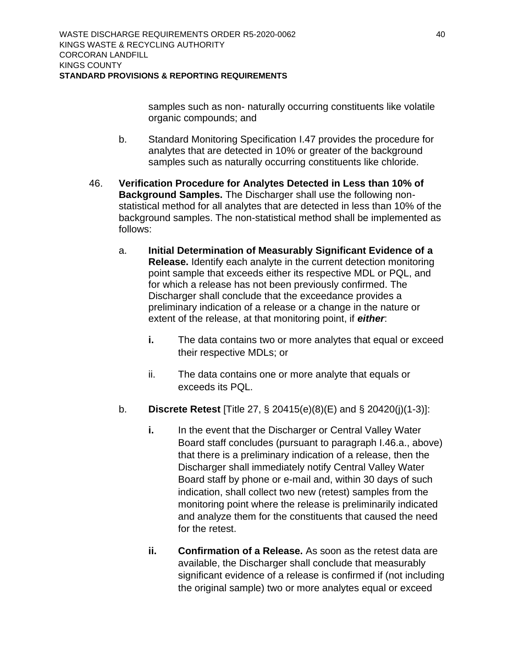samples such as non- naturally occurring constituents like volatile organic compounds; and

- b. Standard Monitoring Specification I.47 provides the procedure for analytes that are detected in 10% or greater of the background samples such as naturally occurring constituents like chloride.
- 46. **Verification Procedure for Analytes Detected in Less than 10% of Background Samples.** The Discharger shall use the following nonstatistical method for all analytes that are detected in less than 10% of the background samples. The non-statistical method shall be implemented as follows:
	- a. **Initial Determination of Measurably Significant Evidence of a Release.** Identify each analyte in the current detection monitoring point sample that exceeds either its respective MDL or PQL, and for which a release has not been previously confirmed. The Discharger shall conclude that the exceedance provides a preliminary indication of a release or a change in the nature or extent of the release, at that monitoring point, if *either*:
		- **i.** The data contains two or more analytes that equal or exceed their respective MDLs; or
		- ii. The data contains one or more analyte that equals or exceeds its PQL.
	- b. **Discrete Retest** [Title 27, § 20415(e)(8)(E) and § 20420(j)(1-3)]:
		- **i.** In the event that the Discharger or Central Valley Water Board staff concludes (pursuant to paragraph I.46.a., above) that there is a preliminary indication of a release, then the Discharger shall immediately notify Central Valley Water Board staff by phone or e-mail and, within 30 days of such indication, shall collect two new (retest) samples from the monitoring point where the release is preliminarily indicated and analyze them for the constituents that caused the need for the retest.
		- **ii. Confirmation of a Release.** As soon as the retest data are available, the Discharger shall conclude that measurably significant evidence of a release is confirmed if (not including the original sample) two or more analytes equal or exceed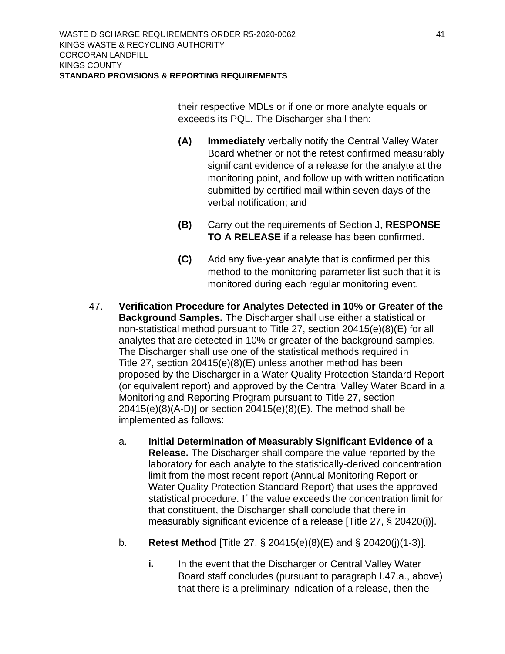their respective MDLs or if one or more analyte equals or exceeds its PQL. The Discharger shall then:

- **(A) Immediately** verbally notify the Central Valley Water Board whether or not the retest confirmed measurably significant evidence of a release for the analyte at the monitoring point, and follow up with written notification submitted by certified mail within seven days of the verbal notification; and
- **(B)** Carry out the requirements of Section J, **RESPONSE TO A RELEASE** if a release has been confirmed.
- **(C)** Add any five-year analyte that is confirmed per this method to the monitoring parameter list such that it is monitored during each regular monitoring event.
- 47. **Verification Procedure for Analytes Detected in 10% or Greater of the Background Samples.** The Discharger shall use either a statistical or non-statistical method pursuant to Title 27, section 20415(e)(8)(E) for all analytes that are detected in 10% or greater of the background samples. The Discharger shall use one of the statistical methods required in Title 27, section 20415(e)(8)(E) unless another method has been proposed by the Discharger in a Water Quality Protection Standard Report (or equivalent report) and approved by the Central Valley Water Board in a Monitoring and Reporting Program pursuant to Title 27, section 20415(e)(8)(A-D)] or section 20415(e)(8)(E). The method shall be implemented as follows:
	- a. **Initial Determination of Measurably Significant Evidence of a Release.** The Discharger shall compare the value reported by the laboratory for each analyte to the statistically-derived concentration limit from the most recent report (Annual Monitoring Report or Water Quality Protection Standard Report) that uses the approved statistical procedure. If the value exceeds the concentration limit for that constituent, the Discharger shall conclude that there in measurably significant evidence of a release [Title 27, § 20420(i)].
	- b. **Retest Method** [Title 27, § 20415(e)(8)(E) and § 20420(j)(1-3)].
		- **i.** In the event that the Discharger or Central Valley Water Board staff concludes (pursuant to paragraph I.47.a., above) that there is a preliminary indication of a release, then the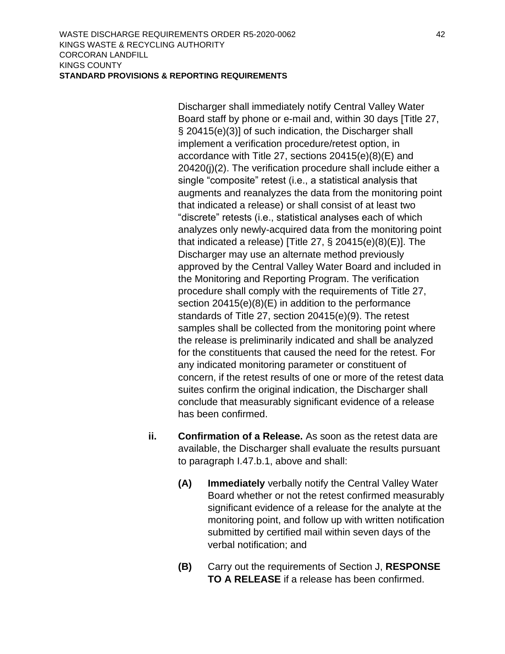Discharger shall immediately notify Central Valley Water Board staff by phone or e-mail and, within 30 days [Title 27, § 20415(e)(3)] of such indication, the Discharger shall implement a verification procedure/retest option, in accordance with Title 27, sections 20415(e)(8)(E) and 20420(j)(2). The verification procedure shall include either a single "composite" retest (i.e., a statistical analysis that augments and reanalyzes the data from the monitoring point that indicated a release) or shall consist of at least two "discrete" retests (i.e., statistical analyses each of which analyzes only newly-acquired data from the monitoring point that indicated a release) [Title 27, § 20415(e)(8)(E)]. The Discharger may use an alternate method previously approved by the Central Valley Water Board and included in the Monitoring and Reporting Program. The verification procedure shall comply with the requirements of Title 27, section 20415(e)(8)(E) in addition to the performance standards of Title 27, section 20415(e)(9). The retest samples shall be collected from the monitoring point where the release is preliminarily indicated and shall be analyzed for the constituents that caused the need for the retest. For any indicated monitoring parameter or constituent of concern, if the retest results of one or more of the retest data suites confirm the original indication, the Discharger shall conclude that measurably significant evidence of a release has been confirmed.

- **ii. Confirmation of a Release.** As soon as the retest data are available, the Discharger shall evaluate the results pursuant to paragraph I.47.b.1, above and shall:
	- **(A) Immediately** verbally notify the Central Valley Water Board whether or not the retest confirmed measurably significant evidence of a release for the analyte at the monitoring point, and follow up with written notification submitted by certified mail within seven days of the verbal notification; and
	- **(B)** Carry out the requirements of Section J, **RESPONSE TO A RELEASE** if a release has been confirmed.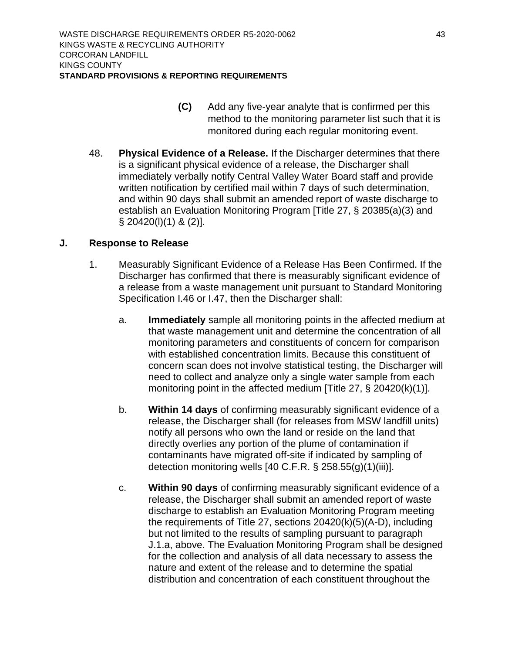- **(C)** Add any five-year analyte that is confirmed per this method to the monitoring parameter list such that it is monitored during each regular monitoring event.
- 48. **Physical Evidence of a Release.** If the Discharger determines that there is a significant physical evidence of a release, the Discharger shall immediately verbally notify Central Valley Water Board staff and provide written notification by certified mail within 7 days of such determination, and within 90 days shall submit an amended report of waste discharge to establish an Evaluation Monitoring Program [Title 27, § 20385(a)(3) and § 20420(l)(1) & (2)].

### <span id="page-50-0"></span>**J. Response to Release**

- 1. Measurably Significant Evidence of a Release Has Been Confirmed. If the Discharger has confirmed that there is measurably significant evidence of a release from a waste management unit pursuant to Standard Monitoring Specification I.46 or I.47, then the Discharger shall:
	- a. **Immediately** sample all monitoring points in the affected medium at that waste management unit and determine the concentration of all monitoring parameters and constituents of concern for comparison with established concentration limits. Because this constituent of concern scan does not involve statistical testing, the Discharger will need to collect and analyze only a single water sample from each monitoring point in the affected medium [Title 27, § 20420(k)(1)].
	- b. **Within 14 days** of confirming measurably significant evidence of a release, the Discharger shall (for releases from MSW landfill units) notify all persons who own the land or reside on the land that directly overlies any portion of the plume of contamination if contaminants have migrated off-site if indicated by sampling of detection monitoring wells [40 C.F.R. § 258.55(g)(1)(iii)].
	- c. **Within 90 days** of confirming measurably significant evidence of a release, the Discharger shall submit an amended report of waste discharge to establish an Evaluation Monitoring Program meeting the requirements of Title 27, sections 20420(k)(5)(A-D), including but not limited to the results of sampling pursuant to paragraph J.1.a, above. The Evaluation Monitoring Program shall be designed for the collection and analysis of all data necessary to assess the nature and extent of the release and to determine the spatial distribution and concentration of each constituent throughout the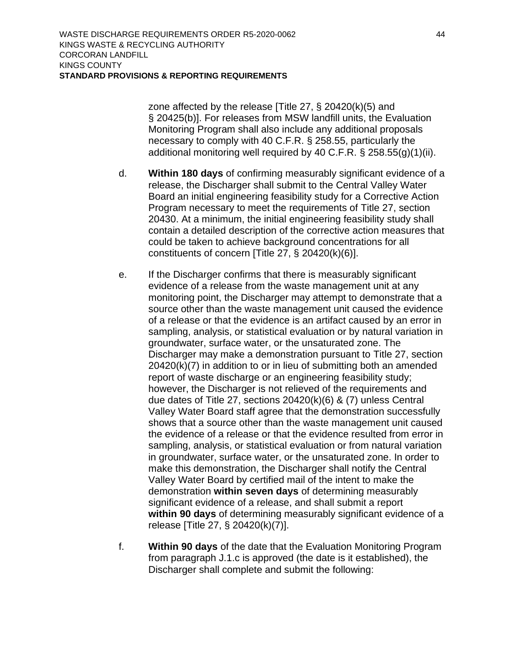zone affected by the release [Title 27, § 20420(k)(5) and § 20425(b)]. For releases from MSW landfill units, the Evaluation Monitoring Program shall also include any additional proposals necessary to comply with 40 C.F.R. § 258.55, particularly the additional monitoring well required by 40 C.F.R. § 258.55(g)(1)(ii).

- d. **Within 180 days** of confirming measurably significant evidence of a release, the Discharger shall submit to the Central Valley Water Board an initial engineering feasibility study for a Corrective Action Program necessary to meet the requirements of Title 27, section 20430. At a minimum, the initial engineering feasibility study shall contain a detailed description of the corrective action measures that could be taken to achieve background concentrations for all constituents of concern [Title 27, § 20420(k)(6)].
- e. If the Discharger confirms that there is measurably significant evidence of a release from the waste management unit at any monitoring point, the Discharger may attempt to demonstrate that a source other than the waste management unit caused the evidence of a release or that the evidence is an artifact caused by an error in sampling, analysis, or statistical evaluation or by natural variation in groundwater, surface water, or the unsaturated zone. The Discharger may make a demonstration pursuant to Title 27, section 20420(k)(7) in addition to or in lieu of submitting both an amended report of waste discharge or an engineering feasibility study; however, the Discharger is not relieved of the requirements and due dates of Title 27, sections 20420(k)(6) & (7) unless Central Valley Water Board staff agree that the demonstration successfully shows that a source other than the waste management unit caused the evidence of a release or that the evidence resulted from error in sampling, analysis, or statistical evaluation or from natural variation in groundwater, surface water, or the unsaturated zone. In order to make this demonstration, the Discharger shall notify the Central Valley Water Board by certified mail of the intent to make the demonstration **within seven days** of determining measurably significant evidence of a release, and shall submit a report **within 90 days** of determining measurably significant evidence of a release [Title 27, § 20420(k)(7)].
- f. **Within 90 days** of the date that the Evaluation Monitoring Program from paragraph J.1.c is approved (the date is it established), the Discharger shall complete and submit the following: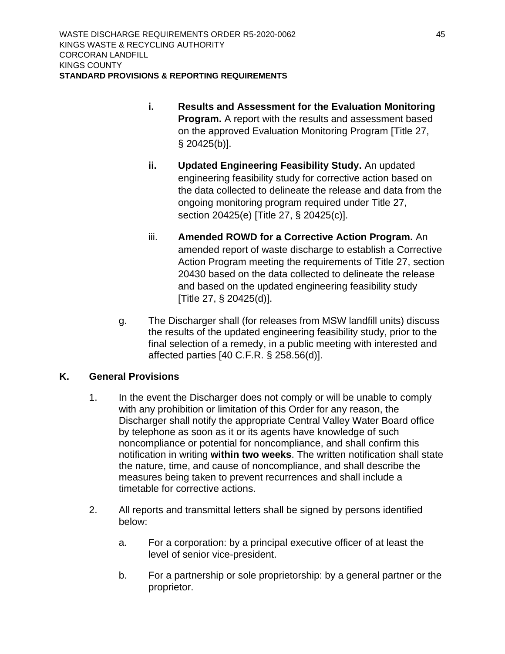- **i. Results and Assessment for the Evaluation Monitoring Program.** A report with the results and assessment based on the approved Evaluation Monitoring Program [Title 27, § 20425(b)].
- **ii. Updated Engineering Feasibility Study.** An updated engineering feasibility study for corrective action based on the data collected to delineate the release and data from the ongoing monitoring program required under Title 27, section 20425(e) [Title 27, § 20425(c)].
- iii. **Amended ROWD for a Corrective Action Program.** An amended report of waste discharge to establish a Corrective Action Program meeting the requirements of Title 27, section 20430 based on the data collected to delineate the release and based on the updated engineering feasibility study [Title 27, § 20425(d)].
- g. The Discharger shall (for releases from MSW landfill units) discuss the results of the updated engineering feasibility study, prior to the final selection of a remedy, in a public meeting with interested and affected parties [40 C.F.R. § 258.56(d)].

## <span id="page-52-0"></span>**K. General Provisions**

- 1. In the event the Discharger does not comply or will be unable to comply with any prohibition or limitation of this Order for any reason, the Discharger shall notify the appropriate Central Valley Water Board office by telephone as soon as it or its agents have knowledge of such noncompliance or potential for noncompliance, and shall confirm this notification in writing **within two weeks**. The written notification shall state the nature, time, and cause of noncompliance, and shall describe the measures being taken to prevent recurrences and shall include a timetable for corrective actions.
- 2. All reports and transmittal letters shall be signed by persons identified below:
	- a. For a corporation: by a principal executive officer of at least the level of senior vice-president.
	- b. For a partnership or sole proprietorship: by a general partner or the proprietor.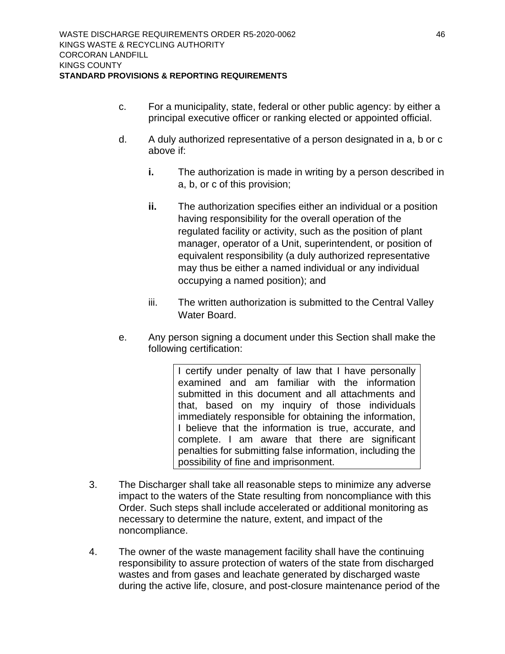- c. For a municipality, state, federal or other public agency: by either a principal executive officer or ranking elected or appointed official.
- d. A duly authorized representative of a person designated in a, b or c above if:
	- **i.** The authorization is made in writing by a person described in a, b, or c of this provision;
	- **ii.** The authorization specifies either an individual or a position having responsibility for the overall operation of the regulated facility or activity, such as the position of plant manager, operator of a Unit, superintendent, or position of equivalent responsibility (a duly authorized representative may thus be either a named individual or any individual occupying a named position); and
	- iii. The written authorization is submitted to the Central Valley Water Board.
- e. Any person signing a document under this Section shall make the following certification:

I certify under penalty of law that I have personally examined and am familiar with the information submitted in this document and all attachments and that, based on my inquiry of those individuals immediately responsible for obtaining the information, I believe that the information is true, accurate, and complete. I am aware that there are significant penalties for submitting false information, including the possibility of fine and imprisonment.

- 3. The Discharger shall take all reasonable steps to minimize any adverse impact to the waters of the State resulting from noncompliance with this Order. Such steps shall include accelerated or additional monitoring as necessary to determine the nature, extent, and impact of the noncompliance.
- 4. The owner of the waste management facility shall have the continuing responsibility to assure protection of waters of the state from discharged wastes and from gases and leachate generated by discharged waste during the active life, closure, and post-closure maintenance period of the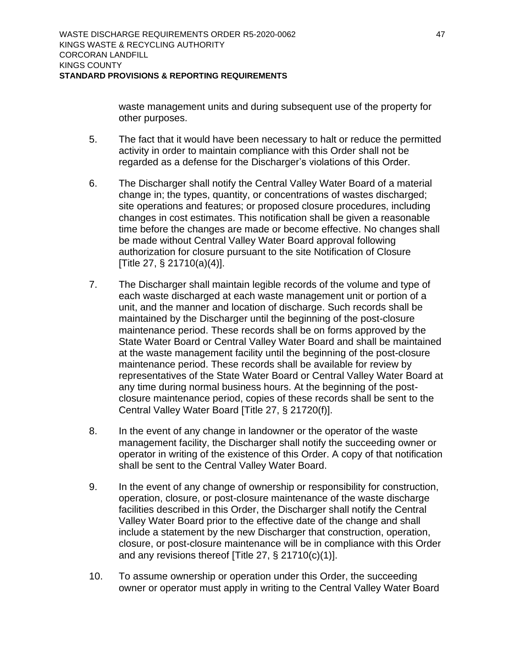waste management units and during subsequent use of the property for other purposes.

- 5. The fact that it would have been necessary to halt or reduce the permitted activity in order to maintain compliance with this Order shall not be regarded as a defense for the Discharger's violations of this Order.
- 6. The Discharger shall notify the Central Valley Water Board of a material change in; the types, quantity, or concentrations of wastes discharged; site operations and features; or proposed closure procedures, including changes in cost estimates. This notification shall be given a reasonable time before the changes are made or become effective. No changes shall be made without Central Valley Water Board approval following authorization for closure pursuant to the site Notification of Closure [Title 27, § 21710(a)(4)].
- 7. The Discharger shall maintain legible records of the volume and type of each waste discharged at each waste management unit or portion of a unit, and the manner and location of discharge. Such records shall be maintained by the Discharger until the beginning of the post-closure maintenance period. These records shall be on forms approved by the State Water Board or Central Valley Water Board and shall be maintained at the waste management facility until the beginning of the post-closure maintenance period. These records shall be available for review by representatives of the State Water Board or Central Valley Water Board at any time during normal business hours. At the beginning of the postclosure maintenance period, copies of these records shall be sent to the Central Valley Water Board [Title 27, § 21720(f)].
- 8. In the event of any change in landowner or the operator of the waste management facility, the Discharger shall notify the succeeding owner or operator in writing of the existence of this Order. A copy of that notification shall be sent to the Central Valley Water Board.
- 9. In the event of any change of ownership or responsibility for construction, operation, closure, or post-closure maintenance of the waste discharge facilities described in this Order, the Discharger shall notify the Central Valley Water Board prior to the effective date of the change and shall include a statement by the new Discharger that construction, operation, closure, or post-closure maintenance will be in compliance with this Order and any revisions thereof [Title 27, § 21710(c)(1)].
- 10. To assume ownership or operation under this Order, the succeeding owner or operator must apply in writing to the Central Valley Water Board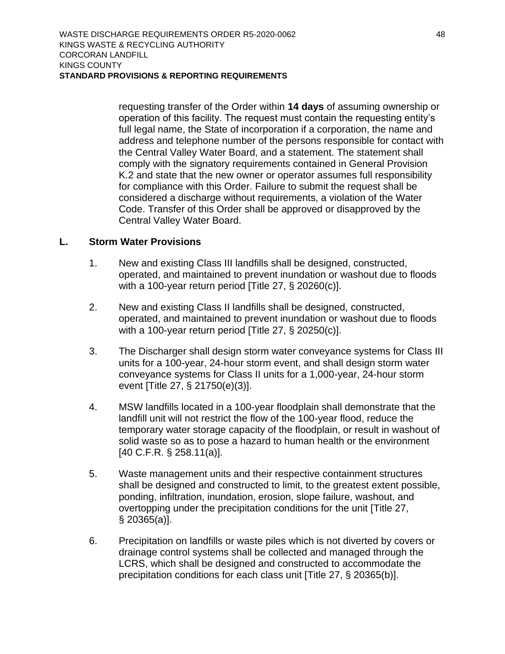requesting transfer of the Order within **14 days** of assuming ownership or operation of this facility. The request must contain the requesting entity's full legal name, the State of incorporation if a corporation, the name and address and telephone number of the persons responsible for contact with the Central Valley Water Board, and a statement. The statement shall comply with the signatory requirements contained in General Provision K.2 and state that the new owner or operator assumes full responsibility for compliance with this Order. Failure to submit the request shall be considered a discharge without requirements, a violation of the Water Code. Transfer of this Order shall be approved or disapproved by the Central Valley Water Board.

#### <span id="page-55-0"></span>**L. Storm Water Provisions**

- 1. New and existing Class III landfills shall be designed, constructed, operated, and maintained to prevent inundation or washout due to floods with a 100-year return period [Title 27, § 20260(c)].
- 2. New and existing Class II landfills shall be designed, constructed, operated, and maintained to prevent inundation or washout due to floods with a 100-year return period [Title 27, § 20250(c)].
- 3. The Discharger shall design storm water conveyance systems for Class III units for a 100-year, 24-hour storm event, and shall design storm water conveyance systems for Class II units for a 1,000-year, 24-hour storm event [Title 27, § 21750(e)(3)].
- 4. MSW landfills located in a 100-year floodplain shall demonstrate that the landfill unit will not restrict the flow of the 100-year flood, reduce the temporary water storage capacity of the floodplain, or result in washout of solid waste so as to pose a hazard to human health or the environment [40 C.F.R. § 258.11(a)].
- 5. Waste management units and their respective containment structures shall be designed and constructed to limit, to the greatest extent possible, ponding, infiltration, inundation, erosion, slope failure, washout, and overtopping under the precipitation conditions for the unit [Title 27, § 20365(a)].
- 6. Precipitation on landfills or waste piles which is not diverted by covers or drainage control systems shall be collected and managed through the LCRS, which shall be designed and constructed to accommodate the precipitation conditions for each class unit [Title 27, § 20365(b)].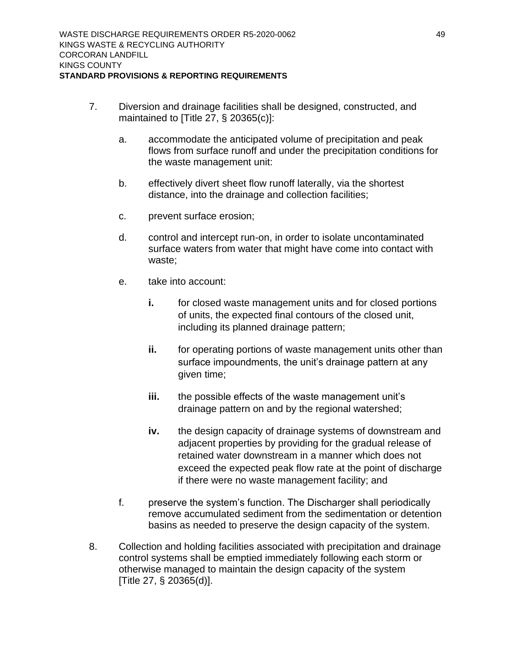- 7. Diversion and drainage facilities shall be designed, constructed, and maintained to [Title 27, § 20365(c)]:
	- a. accommodate the anticipated volume of precipitation and peak flows from surface runoff and under the precipitation conditions for the waste management unit:
	- b. effectively divert sheet flow runoff laterally, via the shortest distance, into the drainage and collection facilities;
	- c. prevent surface erosion;
	- d. control and intercept run-on, in order to isolate uncontaminated surface waters from water that might have come into contact with waste;
	- e. take into account:
		- **i.** for closed waste management units and for closed portions of units, the expected final contours of the closed unit, including its planned drainage pattern;
		- **ii.** for operating portions of waste management units other than surface impoundments, the unit's drainage pattern at any given time;
		- **iii.** the possible effects of the waste management unit's drainage pattern on and by the regional watershed;
		- **iv.** the design capacity of drainage systems of downstream and adjacent properties by providing for the gradual release of retained water downstream in a manner which does not exceed the expected peak flow rate at the point of discharge if there were no waste management facility; and
	- f. preserve the system's function. The Discharger shall periodically remove accumulated sediment from the sedimentation or detention basins as needed to preserve the design capacity of the system.
- 8. Collection and holding facilities associated with precipitation and drainage control systems shall be emptied immediately following each storm or otherwise managed to maintain the design capacity of the system [Title 27, § 20365(d)].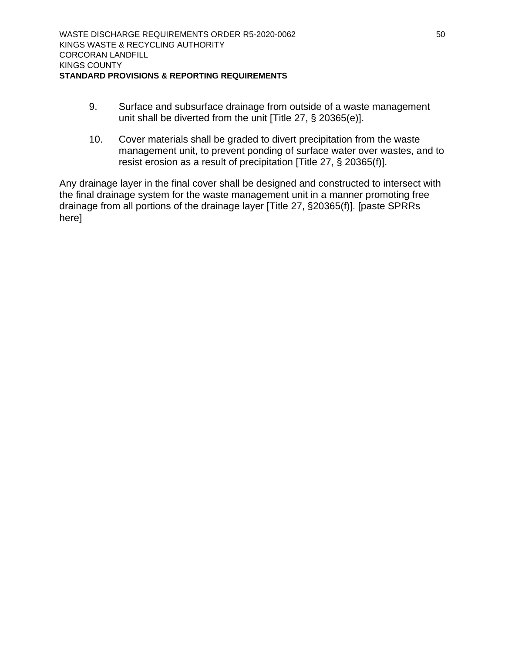- 9. Surface and subsurface drainage from outside of a waste management unit shall be diverted from the unit [Title 27, § 20365(e)].
- 10. Cover materials shall be graded to divert precipitation from the waste management unit, to prevent ponding of surface water over wastes, and to resist erosion as a result of precipitation [Title 27, § 20365(f)].

Any drainage layer in the final cover shall be designed and constructed to intersect with the final drainage system for the waste management unit in a manner promoting free drainage from all portions of the drainage layer [Title 27, §20365(f)]. [paste SPRRs here]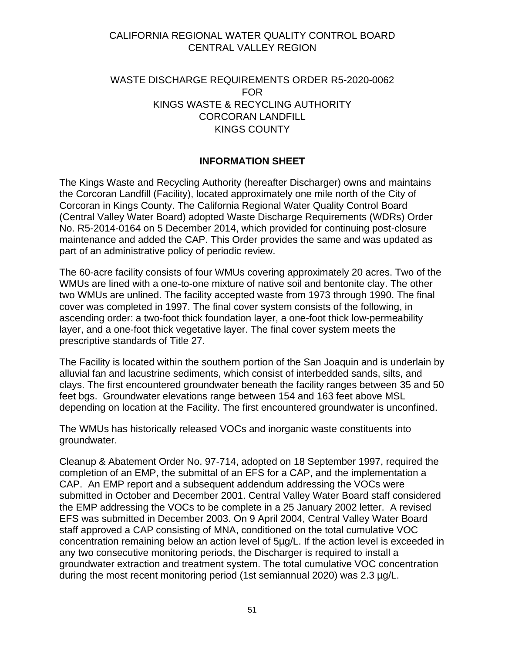## CALIFORNIA REGIONAL WATER QUALITY CONTROL BOARD CENTRAL VALLEY REGION

## WASTE DISCHARGE REQUIREMENTS ORDER R5-2020-0062 FOR KINGS WASTE & RECYCLING AUTHORITY CORCORAN LANDFILL KINGS COUNTY

## **INFORMATION SHEET**

<span id="page-58-0"></span>The Kings Waste and Recycling Authority (hereafter Discharger) owns and maintains the Corcoran Landfill (Facility), located approximately one mile north of the City of Corcoran in Kings County. The California Regional Water Quality Control Board (Central Valley Water Board) adopted Waste Discharge Requirements (WDRs) Order No. R5-2014-0164 on 5 December 2014, which provided for continuing post-closure maintenance and added the CAP. This Order provides the same and was updated as part of an administrative policy of periodic review.

The 60-acre facility consists of four WMUs covering approximately 20 acres. Two of the WMUs are lined with a one-to-one mixture of native soil and bentonite clay. The other two WMUs are unlined. The facility accepted waste from 1973 through 1990. The final cover was completed in 1997. The final cover system consists of the following, in ascending order: a two-foot thick foundation layer, a one-foot thick low-permeability layer, and a one-foot thick vegetative layer. The final cover system meets the prescriptive standards of Title 27.

The Facility is located within the southern portion of the San Joaquin and is underlain by alluvial fan and lacustrine sediments, which consist of interbedded sands, silts, and clays. The first encountered groundwater beneath the facility ranges between 35 and 50 feet bgs. Groundwater elevations range between 154 and 163 feet above MSL depending on location at the Facility. The first encountered groundwater is unconfined.

The WMUs has historically released VOCs and inorganic waste constituents into groundwater.

Cleanup & Abatement Order No. 97-714, adopted on 18 September 1997, required the completion of an EMP, the submittal of an EFS for a CAP, and the implementation a CAP. An EMP report and a subsequent addendum addressing the VOCs were submitted in October and December 2001. Central Valley Water Board staff considered the EMP addressing the VOCs to be complete in a 25 January 2002 letter. A revised EFS was submitted in December 2003. On 9 April 2004, Central Valley Water Board staff approved a CAP consisting of MNA, conditioned on the total cumulative VOC concentration remaining below an action level of 5µg/L. If the action level is exceeded in any two consecutive monitoring periods, the Discharger is required to install a groundwater extraction and treatment system. The total cumulative VOC concentration during the most recent monitoring period (1st semiannual 2020) was 2.3 µg/L.